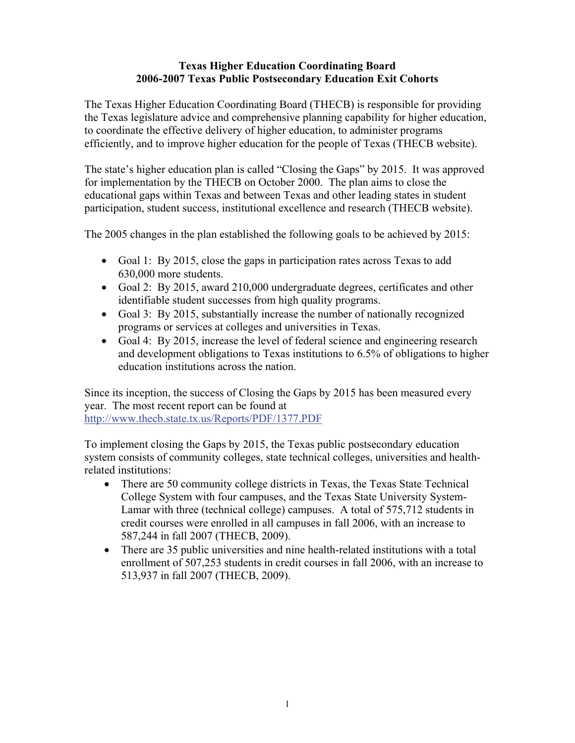#### **Texas Higher Education Coordinating Board 2006-2007 Texas Public Postsecondary Education Exit Cohorts**

The Texas Higher Education Coordinating Board (THECB) is responsible for providing the Texas legislature advice and comprehensive planning capability for higher education, to coordinate the effective delivery of higher education, to administer programs efficiently, and to improve higher education for the people of Texas (THECB website).

The state's higher education plan is called "Closing the Gaps" by 2015. It was approved for implementation by the THECB on October 2000. The plan aims to close the educational gaps within Texas and between Texas and other leading states in student participation, student success, institutional excellence and research (THECB website).

The 2005 changes in the plan established the following goals to be achieved by 2015:

- Goal 1: By 2015, close the gaps in participation rates across Texas to add 630,000 more students.
- Goal 2: By 2015, award 210,000 undergraduate degrees, certificates and other identifiable student successes from high quality programs.
- Goal 3: By 2015, substantially increase the number of nationally recognized programs or services at colleges and universities in Texas.
- Goal 4: By 2015, increase the level of federal science and engineering research and development obligations to Texas institutions to 6.5% of obligations to higher education institutions across the nation.

Since its inception, the success of Closing the Gaps by 2015 has been measured every year. The most recent report can be found at <http://www.thecb.state.tx.us/Reports/PDF/1377.PDF>

To implement closing the Gaps by 2015, the Texas public postsecondary education system consists of community colleges, state technical colleges, universities and healthrelated institutions:

- There are 50 community college districts in Texas, the Texas State Technical College System with four campuses, and the Texas State University System-Lamar with three (technical college) campuses. A total of 575,712 students in credit courses were enrolled in all campuses in fall 2006, with an increase to 587,244 in fall 2007 (THECB, 2009).
- There are 35 public universities and nine health-related institutions with a total enrollment of 507,253 students in credit courses in fall 2006, with an increase to 513,937 in fall 2007 (THECB, 2009).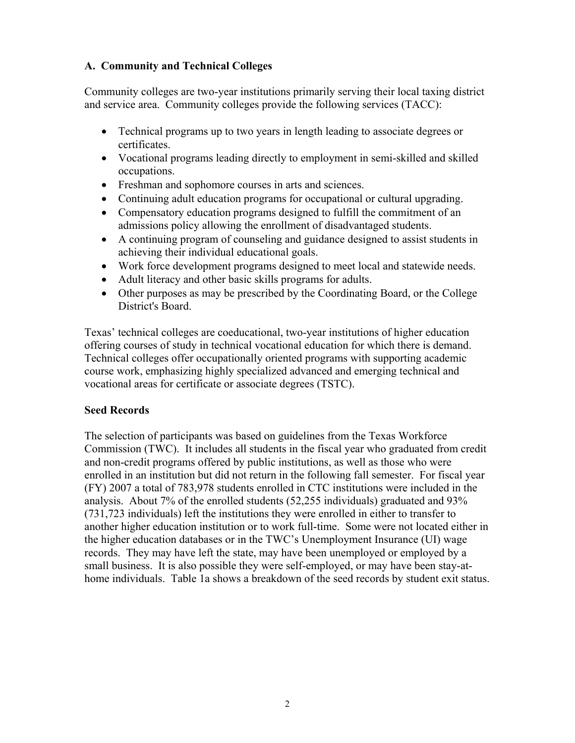# **A. Community and Technical Colleges**

Community colleges are two-year institutions primarily serving their local taxing district and service area. Community colleges provide the following services (TACC):

- Technical programs up to two years in length leading to associate degrees or certificates.
- Vocational programs leading directly to employment in semi-skilled and skilled occupations.
- Freshman and sophomore courses in arts and sciences.
- Continuing adult education programs for occupational or cultural upgrading.
- Compensatory education programs designed to fulfill the commitment of an admissions policy allowing the enrollment of disadvantaged students.
- A continuing program of counseling and guidance designed to assist students in achieving their individual educational goals.
- Work force development programs designed to meet local and statewide needs.
- Adult literacy and other basic skills programs for adults.
- Other purposes as may be prescribed by the Coordinating Board, or the College District's Board.

Texas' technical colleges are coeducational, two-year institutions of higher education offering courses of study in technical vocational education for which there is demand. Technical colleges offer occupationally oriented programs with supporting academic course work, emphasizing highly specialized advanced and emerging technical and vocational areas for certificate or associate degrees (TSTC).

# **Seed Records**

The selection of participants was based on guidelines from the Texas Workforce Commission (TWC). It includes all students in the fiscal year who graduated from credit and non-credit programs offered by public institutions, as well as those who were enrolled in an institution but did not return in the following fall semester. For fiscal year (FY) 2007 a total of 783,978 students enrolled in CTC institutions were included in the analysis. About 7% of the enrolled students (52,255 individuals) graduated and 93% (731,723 individuals) left the institutions they were enrolled in either to transfer to another higher education institution or to work full-time. Some were not located either in the higher education databases or in the TWC's Unemployment Insurance (UI) wage records. They may have left the state, may have been unemployed or employed by a small business. It is also possible they were self-employed, or may have been stay-athome individuals. Table 1a shows a breakdown of the seed records by student exit status.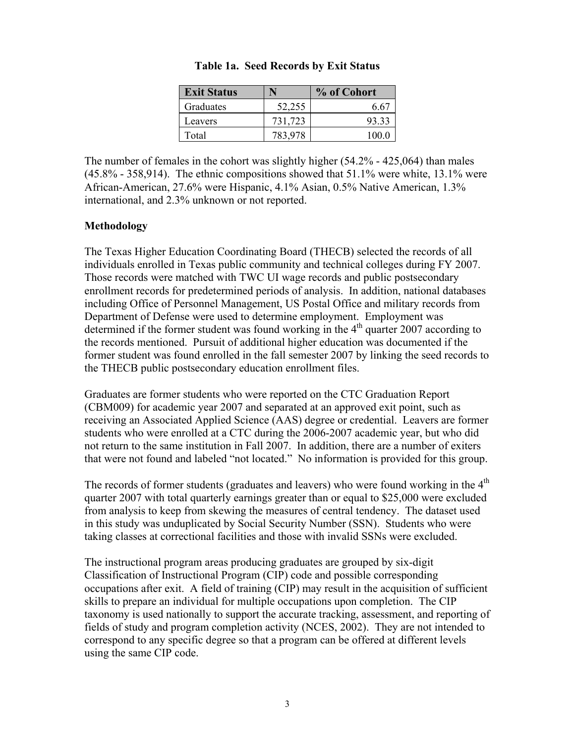| <b>Exit Status</b> |         | % of Cohort |
|--------------------|---------|-------------|
| Graduates          | 52.255  | 6 67        |
| Leavers            | 731,723 | 93.33       |
| Total              | 783.978 | 100 0       |

|  | Table 1a. Seed Records by Exit Status |  |  |
|--|---------------------------------------|--|--|
|--|---------------------------------------|--|--|

The number of females in the cohort was slightly higher (54.2% - 425,064) than males  $(45.8\% - 358.914)$ . The ethnic compositions showed that  $51.1\%$  were white, 13.1% were African-American, 27.6% were Hispanic, 4.1% Asian, 0.5% Native American, 1.3% international, and 2.3% unknown or not reported.

#### **Methodology**

The Texas Higher Education Coordinating Board (THECB) selected the records of all individuals enrolled in Texas public community and technical colleges during FY 2007. Those records were matched with TWC UI wage records and public postsecondary enrollment records for predetermined periods of analysis. In addition, national databases including Office of Personnel Management, US Postal Office and military records from Department of Defense were used to determine employment. Employment was determined if the former student was found working in the  $4<sup>th</sup>$  quarter 2007 according to the records mentioned. Pursuit of additional higher education was documented if the former student was found enrolled in the fall semester 2007 by linking the seed records to the THECB public postsecondary education enrollment files.

Graduates are former students who were reported on the CTC Graduation Report (CBM009) for academic year 2007 and separated at an approved exit point, such as receiving an Associated Applied Science (AAS) degree or credential. Leavers are former students who were enrolled at a CTC during the 2006-2007 academic year, but who did not return to the same institution in Fall 2007. In addition, there are a number of exiters that were not found and labeled "not located." No information is provided for this group.

The records of former students (graduates and leavers) who were found working in the  $4<sup>th</sup>$ quarter 2007 with total quarterly earnings greater than or equal to \$25,000 were excluded from analysis to keep from skewing the measures of central tendency. The dataset used in this study was unduplicated by Social Security Number (SSN). Students who were taking classes at correctional facilities and those with invalid SSNs were excluded.

The instructional program areas producing graduates are grouped by six-digit Classification of Instructional Program (CIP) code and possible corresponding occupations after exit. A field of training (CIP) may result in the acquisition of sufficient skills to prepare an individual for multiple occupations upon completion. The CIP taxonomy is used nationally to support the accurate tracking, assessment, and reporting of fields of study and program completion activity (NCES, 2002). They are not intended to correspond to any specific degree so that a program can be offered at different levels using the same CIP code.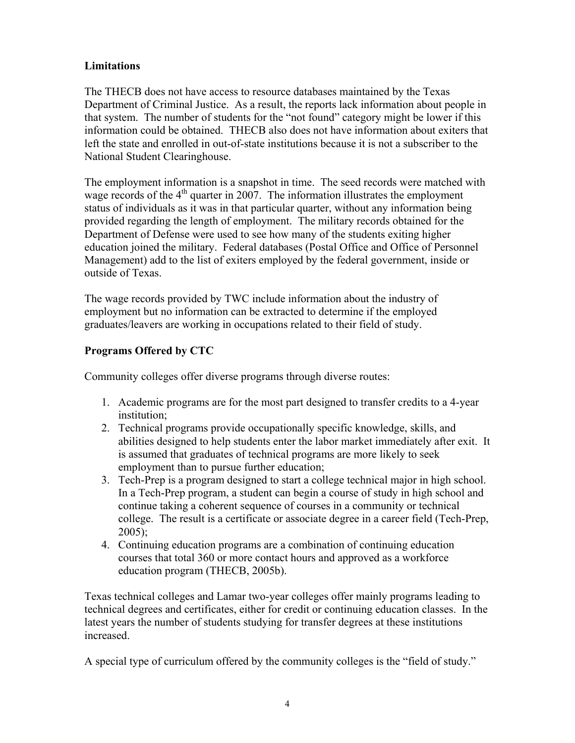# **Limitations**

The THECB does not have access to resource databases maintained by the Texas Department of Criminal Justice. As a result, the reports lack information about people in that system. The number of students for the "not found" category might be lower if this information could be obtained. THECB also does not have information about exiters that left the state and enrolled in out-of-state institutions because it is not a subscriber to the National Student Clearinghouse.

The employment information is a snapshot in time. The seed records were matched with wage records of the  $4<sup>th</sup>$  quarter in 2007. The information illustrates the employment status of individuals as it was in that particular quarter, without any information being provided regarding the length of employment. The military records obtained for the Department of Defense were used to see how many of the students exiting higher education joined the military. Federal databases (Postal Office and Office of Personnel Management) add to the list of exiters employed by the federal government, inside or outside of Texas.

The wage records provided by TWC include information about the industry of employment but no information can be extracted to determine if the employed graduates/leavers are working in occupations related to their field of study.

# **Programs Offered by CTC**

Community colleges offer diverse programs through diverse routes:

- 1. Academic programs are for the most part designed to transfer credits to a 4-year institution;
- 2. Technical programs provide occupationally specific knowledge, skills, and abilities designed to help students enter the labor market immediately after exit. It is assumed that graduates of technical programs are more likely to seek employment than to pursue further education;
- 3. Tech-Prep is a program designed to start a college technical major in high school. In a Tech-Prep program, a student can begin a course of study in high school and continue taking a coherent sequence of courses in a community or technical college. The result is a certificate or associate degree in a career field (Tech-Prep, 2005);
- 4. Continuing education programs are a combination of continuing education courses that total 360 or more contact hours and approved as a workforce education program (THECB, 2005b).

Texas technical colleges and Lamar two-year colleges offer mainly programs leading to technical degrees and certificates, either for credit or continuing education classes. In the latest years the number of students studying for transfer degrees at these institutions increased.

A special type of curriculum offered by the community colleges is the "field of study."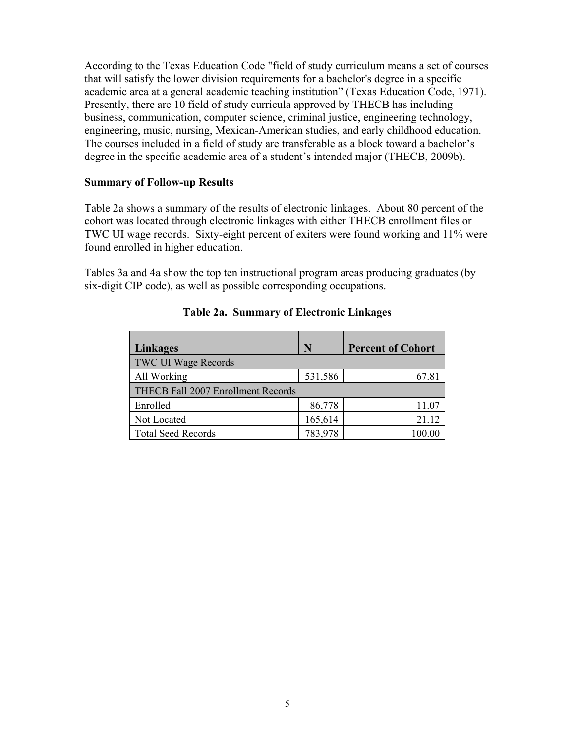According to the Texas Education Code "field of study curriculum means a set of courses that will satisfy the lower division requirements for a bachelor's degree in a specific academic area at a general academic teaching institution" (Texas Education Code, 1971). Presently, there are 10 field of study curricula approved by THECB has including business, communication, computer science, criminal justice, engineering technology, engineering, music, nursing, Mexican-American studies, and early childhood education. The courses included in a field of study are transferable as a block toward a bachelor's degree in the specific academic area of a student's intended major (THECB, 2009b).

#### **Summary of Follow-up Results**

Table 2a shows a summary of the results of electronic linkages. About 80 percent of the cohort was located through electronic linkages with either THECB enrollment files or TWC UI wage records. Sixty-eight percent of exiters were found working and 11% were found enrolled in higher education.

Tables 3a and 4a show the top ten instructional program areas producing graduates (by six-digit CIP code), as well as possible corresponding occupations.

| Linkages                           | N       | <b>Percent of Cohort</b> |
|------------------------------------|---------|--------------------------|
| <b>TWC UI Wage Records</b>         |         |                          |
| All Working                        | 531,586 | 67.81                    |
| THECB Fall 2007 Enrollment Records |         |                          |
| Enrolled                           | 86,778  | 11.07                    |
| Not Located                        | 165,614 | 21.12                    |
| <b>Total Seed Records</b>          | 783,978 | 100.00                   |

#### **Table 2a. Summary of Electronic Linkages**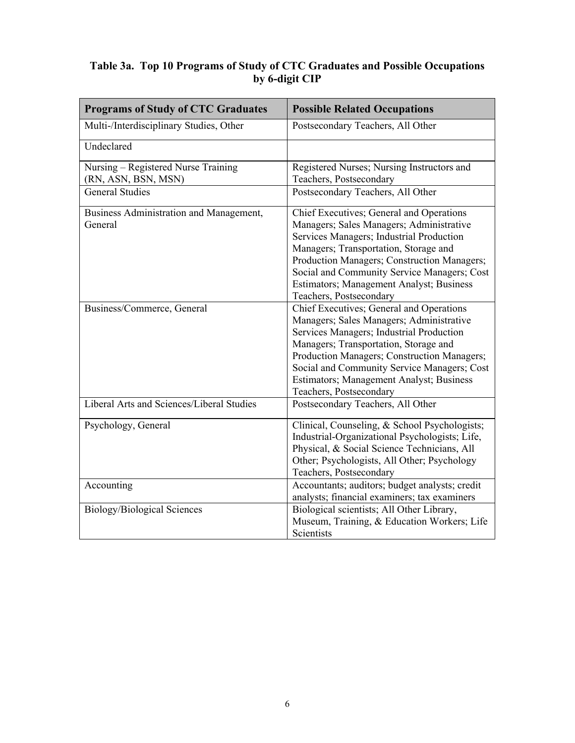#### **Table 3a. Top 10 Programs of Study of CTC Graduates and Possible Occupations by 6-digit CIP**

| <b>Programs of Study of CTC Graduates</b>                               | <b>Possible Related Occupations</b>                                                                                                                                                                                                                                                                                                                                                 |
|-------------------------------------------------------------------------|-------------------------------------------------------------------------------------------------------------------------------------------------------------------------------------------------------------------------------------------------------------------------------------------------------------------------------------------------------------------------------------|
| Multi-/Interdisciplinary Studies, Other                                 | Postsecondary Teachers, All Other                                                                                                                                                                                                                                                                                                                                                   |
| Undeclared                                                              |                                                                                                                                                                                                                                                                                                                                                                                     |
| Nursing – Registered Nurse Training<br>(RN, ASN, BSN, MSN)              | Registered Nurses; Nursing Instructors and<br>Teachers, Postsecondary                                                                                                                                                                                                                                                                                                               |
| <b>General Studies</b>                                                  | Postsecondary Teachers, All Other                                                                                                                                                                                                                                                                                                                                                   |
| Business Administration and Management,<br>General                      | Chief Executives; General and Operations<br>Managers; Sales Managers; Administrative<br>Services Managers; Industrial Production<br>Managers; Transportation, Storage and<br>Production Managers; Construction Managers;<br>Social and Community Service Managers; Cost<br>Estimators; Management Analyst; Business<br>Teachers, Postsecondary                                      |
| Business/Commerce, General<br>Liberal Arts and Sciences/Liberal Studies | Chief Executives; General and Operations<br>Managers; Sales Managers; Administrative<br>Services Managers; Industrial Production<br>Managers; Transportation, Storage and<br>Production Managers; Construction Managers;<br>Social and Community Service Managers; Cost<br>Estimators; Management Analyst; Business<br>Teachers, Postsecondary<br>Postsecondary Teachers, All Other |
| Psychology, General                                                     | Clinical, Counseling, & School Psychologists;<br>Industrial-Organizational Psychologists; Life,<br>Physical, & Social Science Technicians, All<br>Other; Psychologists, All Other; Psychology<br>Teachers, Postsecondary                                                                                                                                                            |
| Accounting                                                              | Accountants; auditors; budget analysts; credit<br>analysts; financial examiners; tax examiners                                                                                                                                                                                                                                                                                      |
| Biology/Biological Sciences                                             | Biological scientists; All Other Library,<br>Museum, Training, & Education Workers; Life<br>Scientists                                                                                                                                                                                                                                                                              |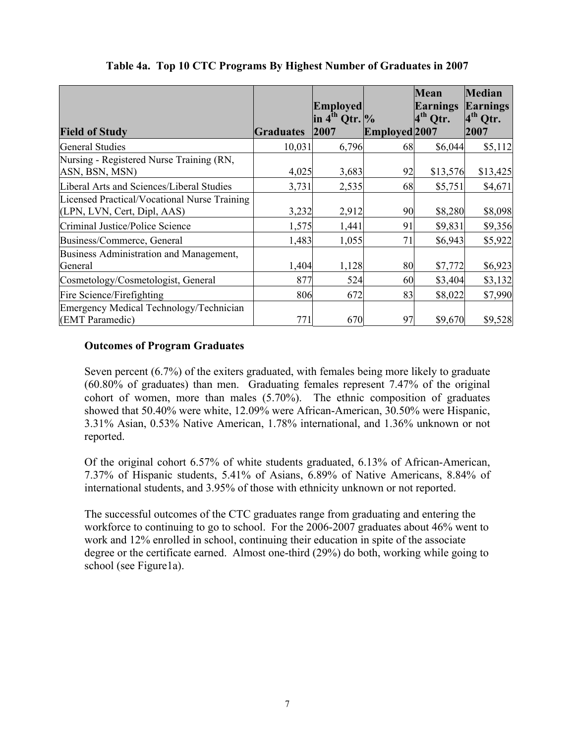|                                                                             |                  | <b>Employed</b><br>in $4^{th}$ Qtr. $\%$ |               | Mean<br>Earnings<br>$4th$ Qtr. | <b>Median</b><br><b>Earnings</b><br>$4th$ Qtr. |
|-----------------------------------------------------------------------------|------------------|------------------------------------------|---------------|--------------------------------|------------------------------------------------|
| <b>Field of Study</b>                                                       | <b>Graduates</b> | 2007                                     | Employed 2007 |                                | 2007                                           |
| <b>General Studies</b>                                                      | 10,031           | 6,796                                    | 68            | \$6,044                        | \$5,112                                        |
| Nursing - Registered Nurse Training (RN,<br>ASN, BSN, MSN)                  | 4,025            | 3,683                                    | 92            | \$13,576                       | \$13,425                                       |
| Liberal Arts and Sciences/Liberal Studies                                   | 3,731            | 2,535                                    | 68            | \$5,751                        | \$4,671                                        |
| Licensed Practical/Vocational Nurse Training<br>(LPN, LVN, Cert, Dipl, AAS) | 3,232            | 2,912                                    | 90            | \$8,280                        | \$8,098                                        |
| Criminal Justice/Police Science                                             | 1,575            | 1,441                                    | 91            | \$9,831                        | \$9,356                                        |
| Business/Commerce, General                                                  | 1,483            | 1,055                                    | 71            | \$6,943                        | \$5,922                                        |
| Business Administration and Management,<br>General                          | 1,404            | 1,128                                    | 80            | \$7,772                        | \$6,923                                        |
| Cosmetology/Cosmetologist, General                                          | 877              | 524                                      | 60            | \$3,404                        | \$3,132                                        |
| Fire Science/Firefighting                                                   | 806              | 672                                      | 83            | \$8,022                        | \$7,990                                        |
| Emergency Medical Technology/Technician<br>(EMT Paramedic)                  | 771              | 670                                      | 97            | \$9,670                        | \$9,528                                        |

# **Table 4a. Top 10 CTC Programs By Highest Number of Graduates in 2007**

# **Outcomes of Program Graduates**

Seven percent (6.7%) of the exiters graduated, with females being more likely to graduate (60.80% of graduates) than men. Graduating females represent 7.47% of the original cohort of women, more than males (5.70%). The ethnic composition of graduates showed that 50.40% were white, 12.09% were African-American, 30.50% were Hispanic, 3.31% Asian, 0.53% Native American, 1.78% international, and 1.36% unknown or not reported.

Of the original cohort 6.57% of white students graduated, 6.13% of African-American, 7.37% of Hispanic students, 5.41% of Asians, 6.89% of Native Americans, 8.84% of international students, and 3.95% of those with ethnicity unknown or not reported.

The successful outcomes of the CTC graduates range from graduating and entering the workforce to continuing to go to school. For the 2006-2007 graduates about 46% went to work and 12% enrolled in school, continuing their education in spite of the associate degree or the certificate earned. Almost one-third (29%) do both, working while going to school (see Figure1a).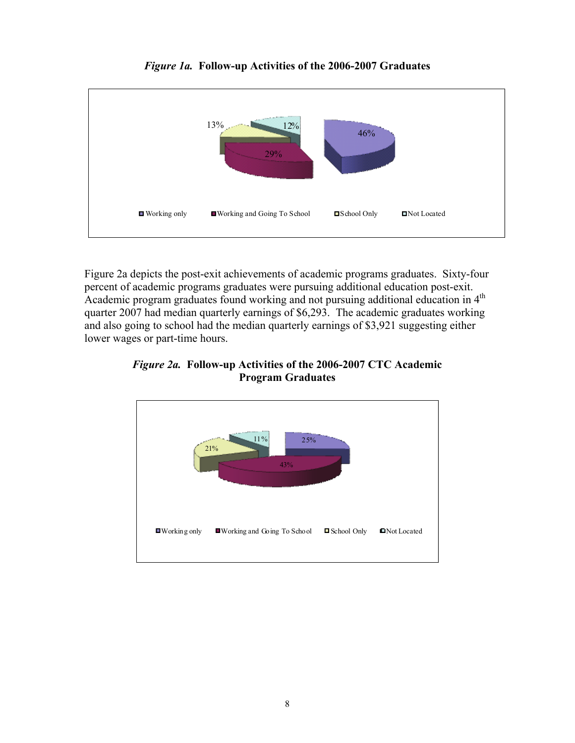

*Figure 1a.* **Follow-up Activities of the 2006-2007 Graduates** 

Figure 2a depicts the post-exit achievements of academic programs graduates. Sixty-four percent of academic programs graduates were pursuing additional education post-exit. Academic program graduates found working and not pursuing additional education in 4<sup>th</sup> quarter 2007 had median quarterly earnings of \$6,293. The academic graduates working and also going to school had the median quarterly earnings of \$3,921 suggesting either lower wages or part-time hours.

*Figure 2a.* **Follow-up Activities of the 2006-2007 CTC Academic Program Graduates** 

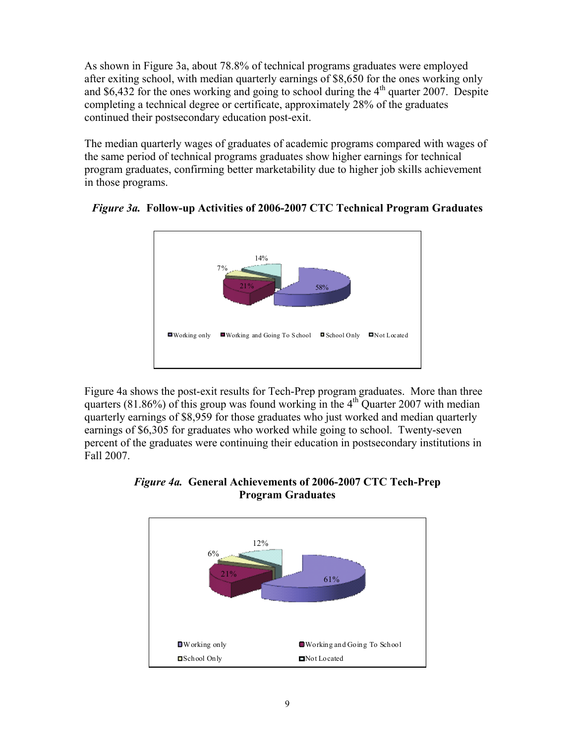As shown in Figure 3a, about 78.8% of technical programs graduates were employed after exiting school, with median quarterly earnings of \$8,650 for the ones working only and \$6,432 for the ones working and going to school during the  $4<sup>th</sup>$  quarter 2007. Despite completing a technical degree or certificate, approximately 28% of the graduates continued their postsecondary education post-exit.

The median quarterly wages of graduates of academic programs compared with wages of the same period of technical programs graduates show higher earnings for technical program graduates, confirming better marketability due to higher job skills achievement in those programs.





Figure 4a shows the post-exit results for Tech-Prep program graduates. More than three quarters (81.86%) of this group was found working in the  $4<sup>th</sup>$  Quarter 2007 with median quarterly earnings of \$8,959 for those graduates who just worked and median quarterly earnings of \$6,305 for graduates who worked while going to school. Twenty-seven percent of the graduates were continuing their education in postsecondary institutions in Fall 2007.



*Figure 4a.* **General Achievements of 2006-2007 CTC Tech-Prep Program Graduates**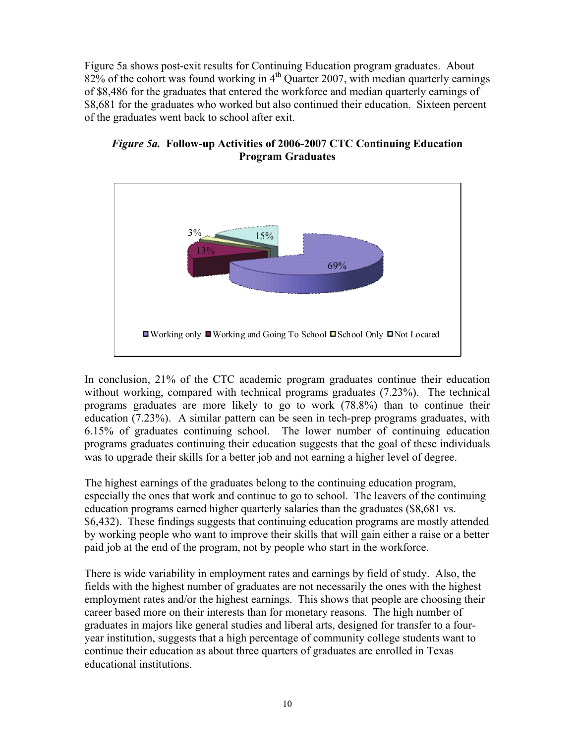Figure 5a shows post-exit results for Continuing Education program graduates. About 82% of the cohort was found working in  $4<sup>th</sup>$  Quarter 2007, with median quarterly earnings of \$8,486 for the graduates that entered the workforce and median quarterly earnings of \$8,681 for the graduates who worked but also continued their education. Sixteen percent of the graduates went back to school after exit.



*Figure 5a.* **Follow-up Activities of 2006-2007 CTC Continuing Education Program Graduates** 

In conclusion, 21% of the CTC academic program graduates continue their education without working, compared with technical programs graduates (7.23%). The technical programs graduates are more likely to go to work (78.8%) than to continue their education (7.23%). A similar pattern can be seen in tech-prep programs graduates, with 6.15% of graduates continuing school. The lower number of continuing education programs graduates continuing their education suggests that the goal of these individuals was to upgrade their skills for a better job and not earning a higher level of degree.

The highest earnings of the graduates belong to the continuing education program, especially the ones that work and continue to go to school. The leavers of the continuing education programs earned higher quarterly salaries than the graduates (\$8,681 vs. \$6,432). These findings suggests that continuing education programs are mostly attended by working people who want to improve their skills that will gain either a raise or a better paid job at the end of the program, not by people who start in the workforce.

There is wide variability in employment rates and earnings by field of study. Also, the fields with the highest number of graduates are not necessarily the ones with the highest employment rates and/or the highest earnings. This shows that people are choosing their career based more on their interests than for monetary reasons. The high number of graduates in majors like general studies and liberal arts, designed for transfer to a fouryear institution, suggests that a high percentage of community college students want to continue their education as about three quarters of graduates are enrolled in Texas educational institutions.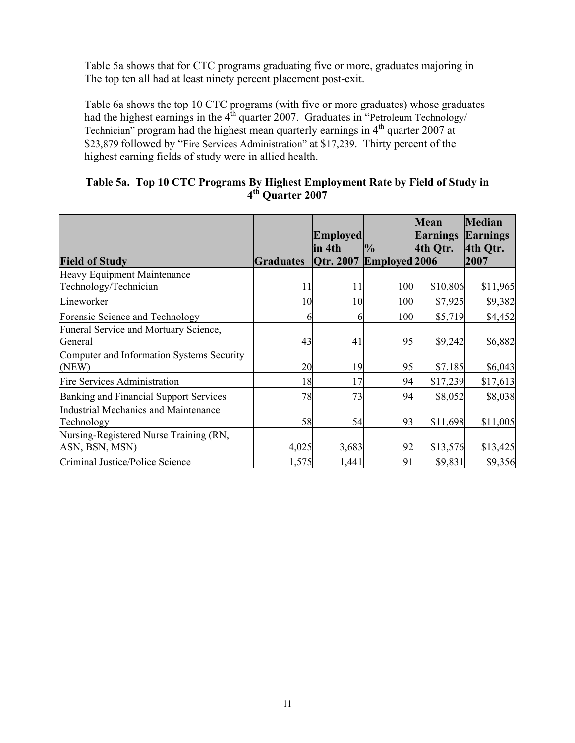Table 5a shows that for CTC programs graduating five or more, graduates majoring in The top ten all had at least ninety percent placement post-exit.

Table 6a shows the top 10 CTC programs (with five or more graduates) whose graduates had the highest earnings in the  $4<sup>th</sup>$  quarter 2007. Graduates in "Petroleum Technology/ Technician" program had the highest mean quarterly earnings in  $4<sup>th</sup>$  quarter 2007 at \$23,879 followed by "Fire Services Administration" at \$17,239. Thirty percent of the highest earning fields of study were in allied health.

# **Table 5a. Top 10 CTC Programs By Highest Employment Rate by Field of Study in 4th Quarter 2007**

|                                                           |                  | <b>Employed</b>                    |               | <b>Mean</b><br><b>Earnings</b> | <b>Median</b><br>Earnings |
|-----------------------------------------------------------|------------------|------------------------------------|---------------|--------------------------------|---------------------------|
| <b>Field of Study</b>                                     | <b>Graduates</b> | lin 4th<br>Qtr. 2007 Employed 2006 | $\frac{1}{2}$ | 4th Qtr.                       | 4th Qtr.<br>2007          |
| Heavy Equipment Maintenance<br>Technology/Technician      | 11               | 11                                 | 100           | \$10,806                       | \$11,965                  |
| Lineworker                                                | 10               | 10                                 | 100           | \$7,925                        | \$9,382                   |
| Forensic Science and Technology                           | h                | h                                  | 100           | \$5,719                        | \$4,452                   |
| <b>Funeral Service and Mortuary Science,</b><br>General   | 43               | 41                                 | 95            | \$9,242                        | \$6,882                   |
| Computer and Information Systems Security<br>(NEW)        | 20               | 19                                 | 95            | \$7,185                        | \$6,043                   |
| <b>Fire Services Administration</b>                       | 18               | 17                                 | 94            | \$17,239                       | \$17,613                  |
| Banking and Financial Support Services                    | 78               | 73                                 | 94            | \$8,052                        | \$8,038                   |
| <b>Industrial Mechanics and Maintenance</b><br>Technology | 58               | 54                                 | 93            | \$11,698                       | \$11,005                  |
| Nursing-Registered Nurse Training (RN,<br>ASN, BSN, MSN)  | 4,025            | 3,683                              | 92            | \$13,576                       | \$13,425                  |
| Criminal Justice/Police Science                           | 1,575            | 1,441                              | 91            | \$9,831                        | \$9,356                   |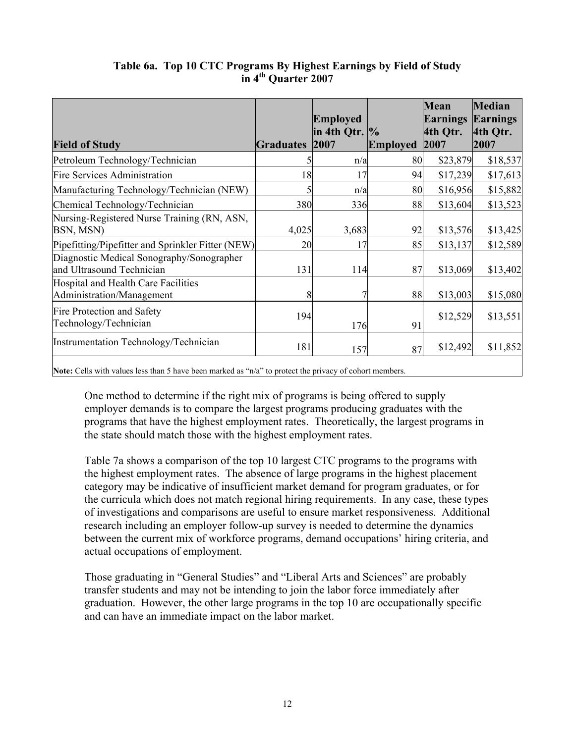|                                                                                                        |                  | <b>Employed</b><br>in 4th Qtr. $\%$ |                 | <b>Mean</b><br><b>Earnings</b><br>4th Qtr. | <b>Median</b><br>Earnings<br>4th Qtr. |
|--------------------------------------------------------------------------------------------------------|------------------|-------------------------------------|-----------------|--------------------------------------------|---------------------------------------|
| <b>Field of Study</b>                                                                                  | <b>Graduates</b> | 2007                                | <b>Employed</b> | 2007                                       | 2007                                  |
| Petroleum Technology/Technician                                                                        |                  | n/a                                 | 80              | \$23,879                                   | \$18,537                              |
| <b>Fire Services Administration</b>                                                                    | 18               | 17                                  | 94              | \$17,239                                   | \$17,613                              |
| Manufacturing Technology/Technician (NEW)                                                              |                  | n/a                                 | 80              | \$16,956                                   | \$15,882                              |
| Chemical Technology/Technician                                                                         | 380              | 336                                 | 88              | \$13,604                                   | \$13,523                              |
| Nursing-Registered Nurse Training (RN, ASN,<br>BSN, MSN)                                               | 4,025            | 3,683                               | 92              | \$13,576                                   | \$13,425                              |
| Pipefitting/Pipefitter and Sprinkler Fitter (NEW)                                                      | 20               | 17                                  | 85              | \$13,137                                   | \$12,589                              |
| Diagnostic Medical Sonography/Sonographer<br>and Ultrasound Technician                                 | 131              | 114                                 | 87              | \$13,069                                   | \$13,402                              |
| Hospital and Health Care Facilities<br>Administration/Management                                       | 8                |                                     | 88              | \$13,003                                   | \$15,080                              |
| Fire Protection and Safety<br>Technology/Technician                                                    | 194              | 176                                 | 91              | \$12,529                                   | \$13,551                              |
| Instrumentation Technology/Technician                                                                  | 181              | 157                                 | 87              | \$12,492                                   | \$11,852                              |
| Natar Calla with values less than 5 have been mortad as "ule" to protect the privacy of schort mombors |                  |                                     |                 |                                            |                                       |

# **Table 6a. Top 10 CTC Programs By Highest Earnings by Field of Study in 4th Quarter 2007**

**Note:** Cells with values less than 5 have been marked as "n/a" to protect the privacy of cohort members.

One method to determine if the right mix of programs is being offered to supply employer demands is to compare the largest programs producing graduates with the programs that have the highest employment rates. Theoretically, the largest programs in the state should match those with the highest employment rates.

Table 7a shows a comparison of the top 10 largest CTC programs to the programs with the highest employment rates. The absence of large programs in the highest placement category may be indicative of insufficient market demand for program graduates, or for the curricula which does not match regional hiring requirements. In any case, these types of investigations and comparisons are useful to ensure market responsiveness. Additional research including an employer follow-up survey is needed to determine the dynamics between the current mix of workforce programs, demand occupations' hiring criteria, and actual occupations of employment.

Those graduating in "General Studies" and "Liberal Arts and Sciences" are probably transfer students and may not be intending to join the labor force immediately after graduation. However, the other large programs in the top 10 are occupationally specific and can have an immediate impact on the labor market.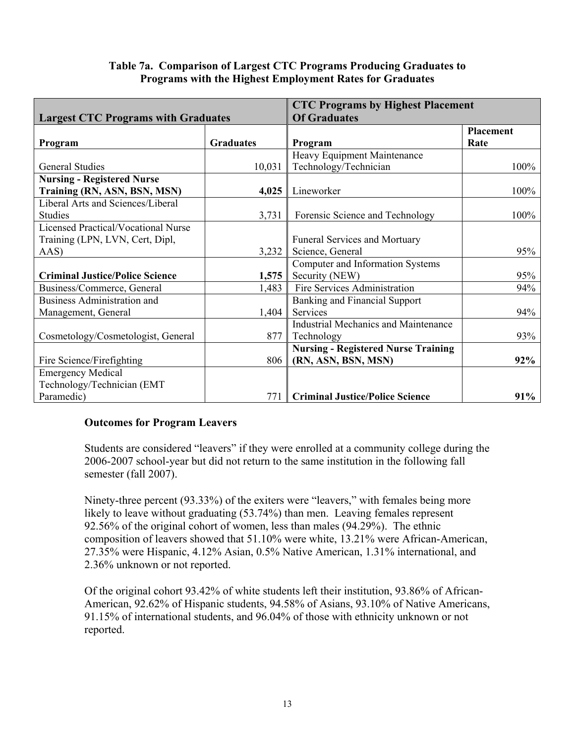#### **Table 7a. Comparison of Largest CTC Programs Producing Graduates to Programs with the Highest Employment Rates for Graduates**

|                                            |                  | <b>CTC Programs by Highest Placement</b>    |                  |
|--------------------------------------------|------------------|---------------------------------------------|------------------|
| <b>Largest CTC Programs with Graduates</b> |                  | <b>Of Graduates</b>                         |                  |
|                                            |                  |                                             | <b>Placement</b> |
| Program                                    | <b>Graduates</b> | Program                                     | Rate             |
|                                            |                  | Heavy Equipment Maintenance                 |                  |
| <b>General Studies</b>                     | 10,031           | Technology/Technician                       | 100%             |
| <b>Nursing - Registered Nurse</b>          |                  |                                             |                  |
| Training (RN, ASN, BSN, MSN)               | 4,025            | Lineworker                                  | 100%             |
| Liberal Arts and Sciences/Liberal          |                  |                                             |                  |
| <b>Studies</b>                             | 3,731            | Forensic Science and Technology             | 100%             |
| <b>Licensed Practical/Vocational Nurse</b> |                  |                                             |                  |
| Training (LPN, LVN, Cert, Dipl,            |                  | <b>Funeral Services and Mortuary</b>        |                  |
| AAS)                                       | 3,232            | Science, General                            | 95%              |
|                                            |                  | Computer and Information Systems            |                  |
| <b>Criminal Justice/Police Science</b>     | 1,575            | Security (NEW)                              | 95%              |
| Business/Commerce, General                 | 1,483            | Fire Services Administration                | 94%              |
| <b>Business Administration and</b>         |                  | <b>Banking and Financial Support</b>        |                  |
| Management, General                        | 1,404            | Services                                    | 94%              |
|                                            |                  | <b>Industrial Mechanics and Maintenance</b> |                  |
| Cosmetology/Cosmetologist, General         | 877              | Technology                                  | 93%              |
|                                            |                  | <b>Nursing - Registered Nurse Training</b>  |                  |
| Fire Science/Firefighting                  | 806              | (RN, ASN, BSN, MSN)                         | 92%              |
| <b>Emergency Medical</b>                   |                  |                                             |                  |
| Technology/Technician (EMT                 |                  |                                             |                  |
| Paramedic)                                 | 771              | <b>Criminal Justice/Police Science</b>      | 91%              |

# **Outcomes for Program Leavers**

Students are considered "leavers" if they were enrolled at a community college during the 2006-2007 school-year but did not return to the same institution in the following fall semester (fall 2007).

Ninety-three percent (93.33%) of the exiters were "leavers," with females being more likely to leave without graduating (53.74%) than men. Leaving females represent 92.56% of the original cohort of women, less than males (94.29%). The ethnic composition of leavers showed that 51.10% were white, 13.21% were African-American, 27.35% were Hispanic, 4.12% Asian, 0.5% Native American, 1.31% international, and 2.36% unknown or not reported.

Of the original cohort 93.42% of white students left their institution, 93.86% of African-American, 92.62% of Hispanic students, 94.58% of Asians, 93.10% of Native Americans, 91.15% of international students, and 96.04% of those with ethnicity unknown or not reported.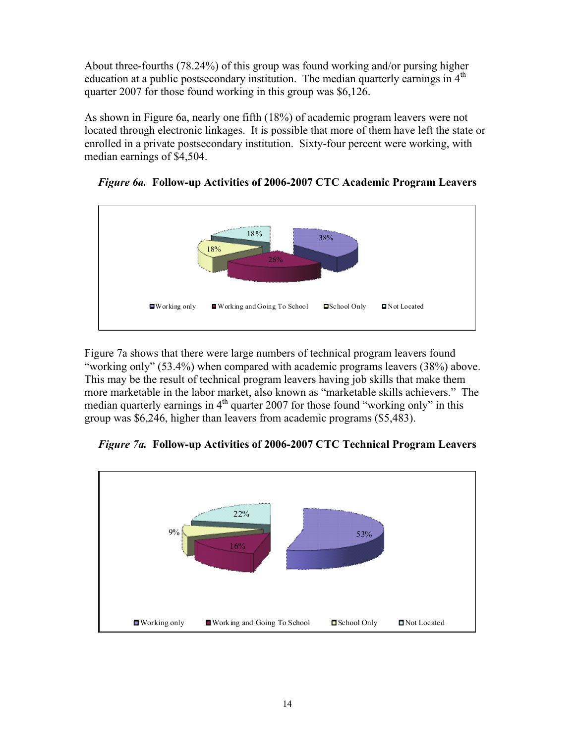About three-fourths (78.24%) of this group was found working and/or pursing higher education at a public postsecondary institution. The median quarterly earnings in  $4<sup>th</sup>$ quarter 2007 for those found working in this group was \$6,126.

As shown in Figure 6a, nearly one fifth (18%) of academic program leavers were not located through electronic linkages. It is possible that more of them have left the state or enrolled in a private postsecondary institution. Sixty-four percent were working, with median earnings of \$4,504.



*Figure 6a.* **Follow-up Activities of 2006-2007 CTC Academic Program Leavers** 

Figure 7a shows that there were large numbers of technical program leavers found "working only" (53.4%) when compared with academic programs leavers (38%) above. This may be the result of technical program leavers having job skills that make them more marketable in the labor market, also known as "marketable skills achievers." The median quarterly earnings in  $4<sup>th</sup>$  quarter 2007 for those found "working only" in this group was \$6,246, higher than leavers from academic programs (\$5,483).



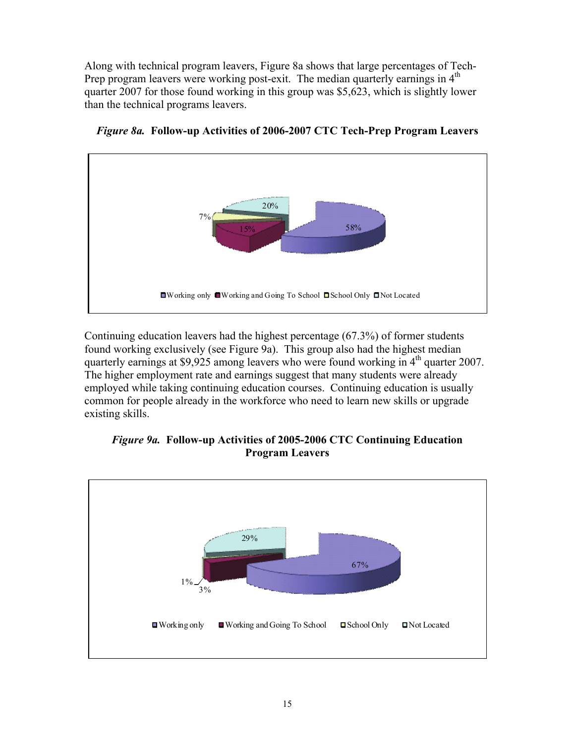Along with technical program leavers, Figure 8a shows that large percentages of Tech-Prep program leavers were working post-exit. The median quarterly earnings in  $4<sup>th</sup>$ quarter 2007 for those found working in this group was \$5,623, which is slightly lower than the technical programs leavers.



*Figure 8a.* **Follow-up Activities of 2006-2007 CTC Tech-Prep Program Leavers** 

Continuing education leavers had the highest percentage (67.3%) of former students found working exclusively (see Figure 9a). This group also had the highest median quarterly earnings at \$9,925 among leavers who were found working in 4<sup>th</sup> quarter 2007. The higher employment rate and earnings suggest that many students were already employed while taking continuing education courses. Continuing education is usually common for people already in the workforce who need to learn new skills or upgrade existing skills.



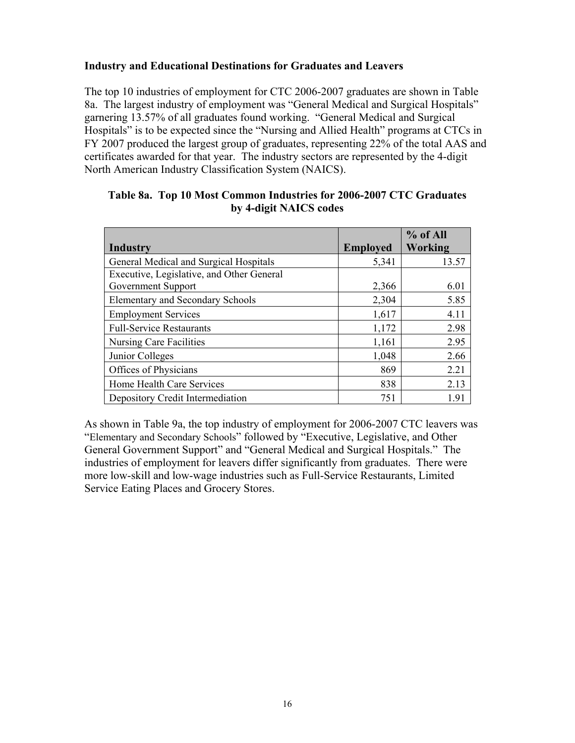### **Industry and Educational Destinations for Graduates and Leavers**

The top 10 industries of employment for CTC 2006-2007 graduates are shown in Table 8a. The largest industry of employment was "General Medical and Surgical Hospitals" garnering 13.57% of all graduates found working. "General Medical and Surgical Hospitals" is to be expected since the "Nursing and Allied Health" programs at CTCs in FY 2007 produced the largest group of graduates, representing 22% of the total AAS and certificates awarded for that year. The industry sectors are represented by the 4-digit North American Industry Classification System (NAICS).

|                                           |                 | % of All |
|-------------------------------------------|-----------------|----------|
| Industry                                  | <b>Employed</b> | Working  |
| General Medical and Surgical Hospitals    | 5,341           | 13.57    |
| Executive, Legislative, and Other General |                 |          |
| Government Support                        | 2,366           | 6.01     |
| <b>Elementary and Secondary Schools</b>   | 2,304           | 5.85     |
| <b>Employment Services</b>                | 1,617           | 4.11     |
| <b>Full-Service Restaurants</b>           | 1,172           | 2.98     |
| Nursing Care Facilities                   | 1,161           | 2.95     |
| Junior Colleges                           | 1,048           | 2.66     |
| Offices of Physicians                     | 869             | 2.21     |
| Home Health Care Services                 | 838             | 2.13     |
| Depository Credit Intermediation          | 751             | 1.91     |

#### **Table 8a. Top 10 Most Common Industries for 2006-2007 CTC Graduates by 4-digit NAICS codes**

As shown in Table 9a, the top industry of employment for 2006-2007 CTC leavers was "Elementary and Secondary Schools" followed by "Executive, Legislative, and Other General Government Support" and "General Medical and Surgical Hospitals." The industries of employment for leavers differ significantly from graduates. There were more low-skill and low-wage industries such as Full-Service Restaurants, Limited Service Eating Places and Grocery Stores.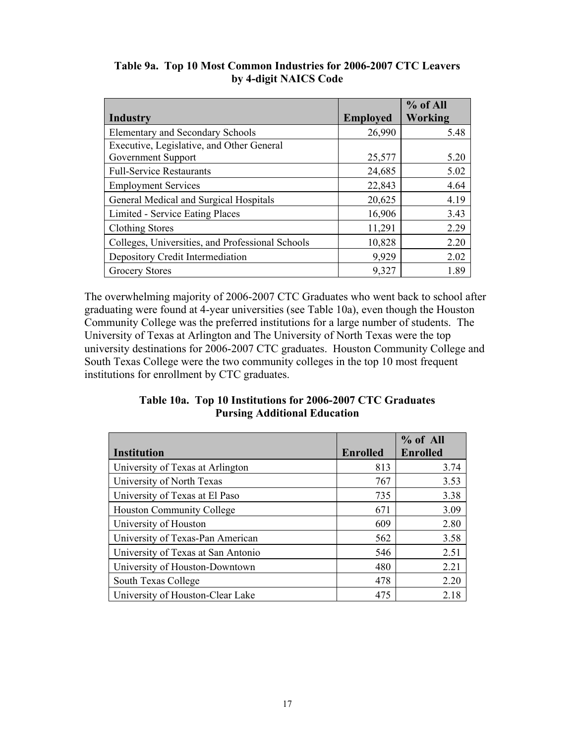|                                                  |                 | % of All |
|--------------------------------------------------|-----------------|----------|
| Industry                                         | <b>Employed</b> | Working  |
| <b>Elementary and Secondary Schools</b>          | 26,990          | 5.48     |
| Executive, Legislative, and Other General        |                 |          |
| Government Support                               | 25,577          | 5.20     |
| <b>Full-Service Restaurants</b>                  | 24,685          | 5.02     |
| <b>Employment Services</b>                       | 22,843          | 4.64     |
| General Medical and Surgical Hospitals           | 20,625          | 4.19     |
| Limited - Service Eating Places                  | 16,906          | 3.43     |
| <b>Clothing Stores</b>                           | 11,291          | 2.29     |
| Colleges, Universities, and Professional Schools | 10,828          | 2.20     |
| Depository Credit Intermediation                 | 9,929           | 2.02     |
| <b>Grocery Stores</b>                            | 9,327           | 1.89     |

# **Table 9a. Top 10 Most Common Industries for 2006-2007 CTC Leavers by 4-digit NAICS Code**

The overwhelming majority of 2006-2007 CTC Graduates who went back to school after graduating were found at 4-year universities (see Table 10a), even though the Houston Community College was the preferred institutions for a large number of students. The University of Texas at Arlington and The University of North Texas were the top university destinations for 2006-2007 CTC graduates. Houston Community College and South Texas College were the two community colleges in the top 10 most frequent institutions for enrollment by CTC graduates.

# **Table 10a. Top 10 Institutions for 2006-2007 CTC Graduates Pursing Additional Education**

|                                    |                 | $%$ of All      |
|------------------------------------|-----------------|-----------------|
| Institution                        | <b>Enrolled</b> | <b>Enrolled</b> |
| University of Texas at Arlington   | 813             | 3.74            |
| University of North Texas          | 767             | 3.53            |
| University of Texas at El Paso     | 735             | 3.38            |
| <b>Houston Community College</b>   | 671             | 3.09            |
| University of Houston              | 609             | 2.80            |
| University of Texas-Pan American   | 562             | 3.58            |
| University of Texas at San Antonio | 546             | 2.51            |
| University of Houston-Downtown     | 480             | 2.21            |
| South Texas College                | 478             | 2.20            |
| University of Houston-Clear Lake   | 475             | 2.18            |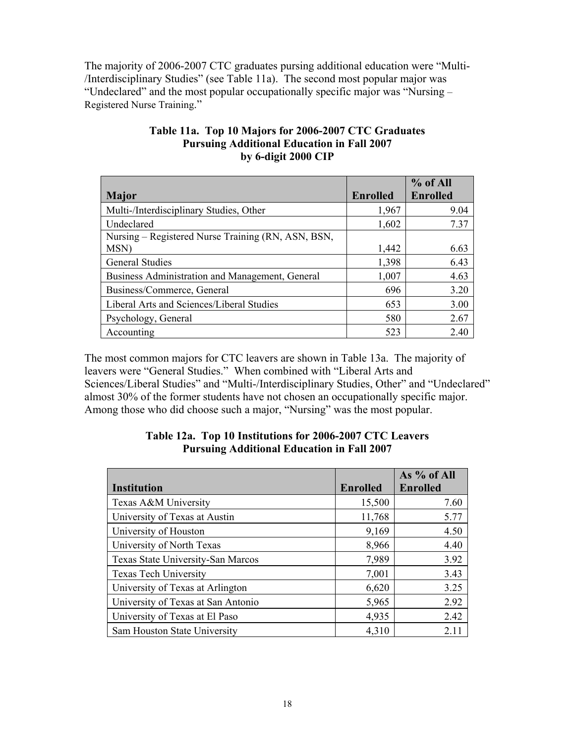The majority of 2006-2007 CTC graduates pursing additional education were "Multi- /Interdisciplinary Studies" (see Table 11a). The second most popular major was "Undeclared" and the most popular occupationally specific major was "Nursing – Registered Nurse Training."

|                                                    |                 | $%$ of All      |
|----------------------------------------------------|-----------------|-----------------|
| <b>Major</b>                                       | <b>Enrolled</b> | <b>Enrolled</b> |
| Multi-/Interdisciplinary Studies, Other            | 1,967           | 9.04            |
| Undeclared                                         | 1,602           | 7.37            |
| Nursing – Registered Nurse Training (RN, ASN, BSN, |                 |                 |
| MSN)                                               | 1,442           | 6.63            |
| <b>General Studies</b>                             | 1,398           | 6.43            |
| Business Administration and Management, General    | 1,007           | 4.63            |
| Business/Commerce, General                         | 696             | 3.20            |
| Liberal Arts and Sciences/Liberal Studies          | 653             | 3.00            |
| Psychology, General                                | 580             | 2.67            |
| Accounting                                         | 523             | 2.40            |

# **Table 11a. Top 10 Majors for 2006-2007 CTC Graduates Pursuing Additional Education in Fall 2007 by 6-digit 2000 CIP**

The most common majors for CTC leavers are shown in Table 13a. The majority of leavers were "General Studies." When combined with "Liberal Arts and Sciences/Liberal Studies" and "Multi-/Interdisciplinary Studies, Other" and "Undeclared" almost 30% of the former students have not chosen an occupationally specific major. Among those who did choose such a major, "Nursing" was the most popular.

|                                    |                 | As % of All     |
|------------------------------------|-----------------|-----------------|
| <b>Institution</b>                 | <b>Enrolled</b> | <b>Enrolled</b> |
| Texas A&M University               | 15,500          | 7.60            |
| University of Texas at Austin      | 11,768          | 5.77            |
| University of Houston              | 9,169           | 4.50            |
| University of North Texas          | 8,966           | 4.40            |
| Texas State University-San Marcos  | 7,989           | 3.92            |
| <b>Texas Tech University</b>       | 7,001           | 3.43            |
| University of Texas at Arlington   | 6,620           | 3.25            |
| University of Texas at San Antonio | 5,965           | 2.92            |
| University of Texas at El Paso     | 4,935           | 2.42            |
| Sam Houston State University       | 4,310           | 2.11            |

# **Table 12a. Top 10 Institutions for 2006-2007 CTC Leavers Pursuing Additional Education in Fall 2007**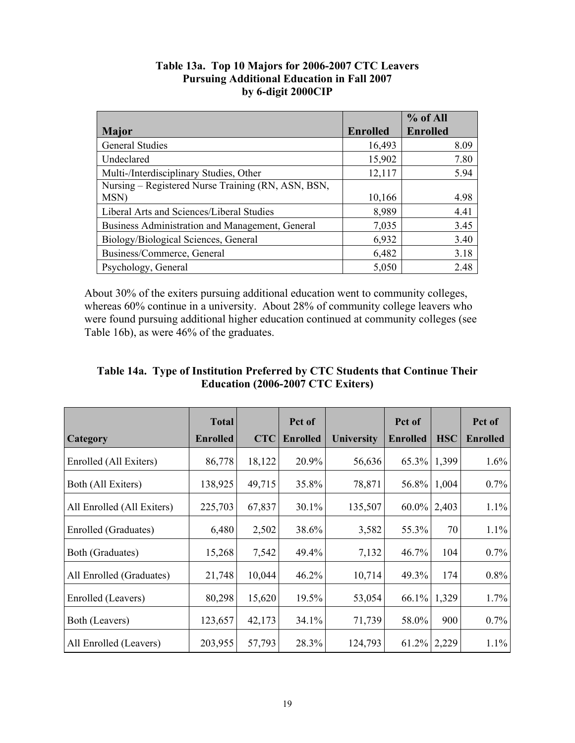|                                                    |                 | % of All        |
|----------------------------------------------------|-----------------|-----------------|
| <b>Major</b>                                       | <b>Enrolled</b> | <b>Enrolled</b> |
| <b>General Studies</b>                             | 16,493          | 8.09            |
| Undeclared                                         | 15,902          | 7.80            |
| Multi-/Interdisciplinary Studies, Other            | 12,117          | 5.94            |
| Nursing – Registered Nurse Training (RN, ASN, BSN, |                 |                 |
| MSN)                                               | 10,166          | 4.98            |
| Liberal Arts and Sciences/Liberal Studies          | 8,989           | 4.41            |
| Business Administration and Management, General    | 7,035           | 3.45            |
| Biology/Biological Sciences, General               | 6,932           | 3.40            |
| Business/Commerce, General                         | 6,482           | 3.18            |
| Psychology, General                                | 5,050           | 2.48            |

# **Table 13a. Top 10 Majors for 2006-2007 CTC Leavers Pursuing Additional Education in Fall 2007 by 6-digit 2000CIP**

About 30% of the exiters pursuing additional education went to community colleges, whereas 60% continue in a university. About 28% of community college leavers who were found pursuing additional higher education continued at community colleges (see Table 16b), as were 46% of the graduates.

| Table 14a. Type of Institution Preferred by CTC Students that Continue Their |
|------------------------------------------------------------------------------|
| Education (2006-2007 CTC Exiters)                                            |

|                            | <b>Total</b>    |            | Pct of          |                   | Pct of          |            | Pct of          |
|----------------------------|-----------------|------------|-----------------|-------------------|-----------------|------------|-----------------|
| <b>Category</b>            | <b>Enrolled</b> | <b>CTC</b> | <b>Enrolled</b> | <b>University</b> | <b>Enrolled</b> | <b>HSC</b> | <b>Enrolled</b> |
| Enrolled (All Exiters)     | 86,778          | 18,122     | 20.9%           | 56,636            | 65.3%           | 1,399      | $1.6\%$         |
| Both (All Exiters)         | 138,925         | 49,715     | 35.8%           | 78,871            | 56.8%           | 1,004      | $0.7\%$         |
| All Enrolled (All Exiters) | 225,703         | 67,837     | 30.1%           | 135,507           | $60.0\%$        | 2,403      | 1.1%            |
| Enrolled (Graduates)       | 6,480           | 2,502      | 38.6%           | 3,582             | 55.3%           | 70         | $1.1\%$         |
| Both (Graduates)           | 15,268          | 7,542      | 49.4%           | 7,132             | $46.7\%$        | 104        | $0.7\%$         |
| All Enrolled (Graduates)   | 21,748          | 10,044     | 46.2%           | 10,714            | 49.3%           | 174        | 0.8%            |
| Enrolled (Leavers)         | 80,298          | 15,620     | 19.5%           | 53,054            | 66.1%           | 1,329      | 1.7%            |
| Both (Leavers)             | 123,657         | 42,173     | 34.1%           | 71,739            | 58.0%           | 900        | $0.7\%$         |
| All Enrolled (Leavers)     | 203,955         | 57,793     | 28.3%           | 124,793           | 61.2%           | 2,229      | $1.1\%$         |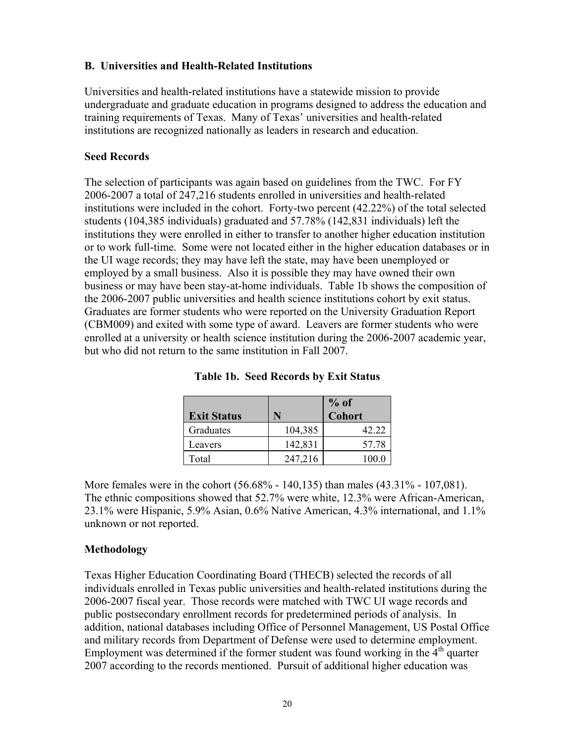# **B. Universities and Health-Related Institutions**

Universities and health-related institutions have a statewide mission to provide undergraduate and graduate education in programs designed to address the education and training requirements of Texas. Many of Texas' universities and health-related institutions are recognized nationally as leaders in research and education.

#### **Seed Records**

The selection of participants was again based on guidelines from the TWC. For FY 2006-2007 a total of 247,216 students enrolled in universities and health-related institutions were included in the cohort. Forty-two percent (42.22%) of the total selected students (104,385 individuals) graduated and 57.78% (142,831 individuals) left the institutions they were enrolled in either to transfer to another higher education institution or to work full-time. Some were not located either in the higher education databases or in the UI wage records; they may have left the state, may have been unemployed or employed by a small business. Also it is possible they may have owned their own business or may have been stay-at-home individuals. Table 1b shows the composition of the 2006-2007 public universities and health science institutions cohort by exit status. Graduates are former students who were reported on the University Graduation Report (CBM009) and exited with some type of award. Leavers are former students who were enrolled at a university or health science institution during the 2006-2007 academic year, but who did not return to the same institution in Fall 2007.

| <b>Exit Status</b> | N       | $%$ of<br><b>Cohort</b> |
|--------------------|---------|-------------------------|
| Graduates          | 104,385 | 42.22                   |
| Leavers            | 142,831 | 57.78                   |
| Total              | 247,216 | 100 0                   |

| <b>Table 1b. Seed Records by Exit Status</b> |  |  |  |  |  |  |
|----------------------------------------------|--|--|--|--|--|--|
|----------------------------------------------|--|--|--|--|--|--|

More females were in the cohort (56.68% - 140,135) than males (43.31% - 107,081). The ethnic compositions showed that 52.7% were white, 12.3% were African-American, 23.1% were Hispanic, 5.9% Asian, 0.6% Native American, 4.3% international, and 1.1% unknown or not reported.

# **Methodology**

Texas Higher Education Coordinating Board (THECB) selected the records of all individuals enrolled in Texas public universities and health-related institutions during the 2006-2007 fiscal year. Those records were matched with TWC UI wage records and public postsecondary enrollment records for predetermined periods of analysis. In addition, national databases including Office of Personnel Management, US Postal Office and military records from Department of Defense were used to determine employment. Employment was determined if the former student was found working in the  $4<sup>th</sup>$  quarter 2007 according to the records mentioned. Pursuit of additional higher education was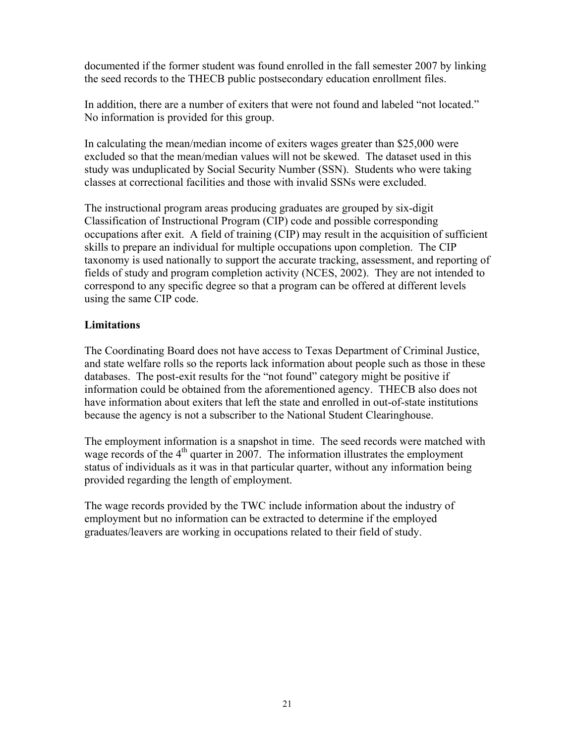documented if the former student was found enrolled in the fall semester 2007 by linking the seed records to the THECB public postsecondary education enrollment files.

In addition, there are a number of exiters that were not found and labeled "not located." No information is provided for this group.

In calculating the mean/median income of exiters wages greater than \$25,000 were excluded so that the mean/median values will not be skewed. The dataset used in this study was unduplicated by Social Security Number (SSN). Students who were taking classes at correctional facilities and those with invalid SSNs were excluded.

The instructional program areas producing graduates are grouped by six-digit Classification of Instructional Program (CIP) code and possible corresponding occupations after exit. A field of training (CIP) may result in the acquisition of sufficient skills to prepare an individual for multiple occupations upon completion. The CIP taxonomy is used nationally to support the accurate tracking, assessment, and reporting of fields of study and program completion activity (NCES, 2002). They are not intended to correspond to any specific degree so that a program can be offered at different levels using the same CIP code.

# **Limitations**

The Coordinating Board does not have access to Texas Department of Criminal Justice, and state welfare rolls so the reports lack information about people such as those in these databases. The post-exit results for the "not found" category might be positive if information could be obtained from the aforementioned agency. THECB also does not have information about exiters that left the state and enrolled in out-of-state institutions because the agency is not a subscriber to the National Student Clearinghouse.

The employment information is a snapshot in time. The seed records were matched with wage records of the  $4<sup>th</sup>$  quarter in 2007. The information illustrates the employment status of individuals as it was in that particular quarter, without any information being provided regarding the length of employment.

The wage records provided by the TWC include information about the industry of employment but no information can be extracted to determine if the employed graduates/leavers are working in occupations related to their field of study.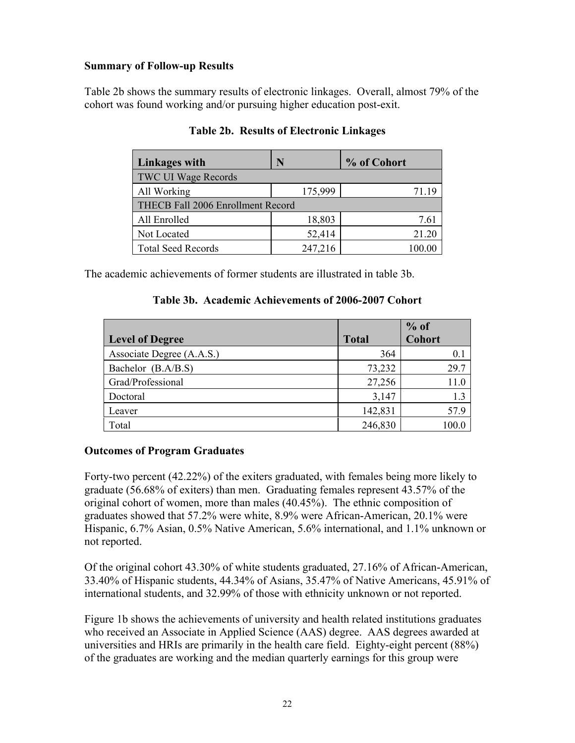# **Summary of Follow-up Results**

Table 2b shows the summary results of electronic linkages. Overall, almost 79% of the cohort was found working and/or pursuing higher education post-exit.

| Linkages with                     | N       | % of Cohort |
|-----------------------------------|---------|-------------|
| <b>TWC UI Wage Records</b>        |         |             |
| All Working                       | 175,999 | 71.19       |
| THECB Fall 2006 Enrollment Record |         |             |
| All Enrolled                      | 18,803  | 7.61        |
| Not Located                       | 52,414  | 21.20       |
| <b>Total Seed Records</b>         | 247,216 | 100.00      |

### **Table 2b. Results of Electronic Linkages**

The academic achievements of former students are illustrated in table 3b.

#### **Table 3b. Academic Achievements of 2006-2007 Cohort**

|                           |              | $%$ of        |
|---------------------------|--------------|---------------|
| <b>Level of Degree</b>    | <b>Total</b> | <b>Cohort</b> |
| Associate Degree (A.A.S.) | 364          | $0.1\,$       |
| Bachelor (B.A/B.S)        | 73,232       | 29.7          |
| Grad/Professional         | 27,256       | 11.0          |
| Doctoral                  | 3,147        | 1.3           |
| Leaver                    | 142,831      | 57.9          |
| Total                     | 246,830      |               |

# **Outcomes of Program Graduates**

Forty-two percent (42.22%) of the exiters graduated, with females being more likely to graduate (56.68% of exiters) than men. Graduating females represent 43.57% of the original cohort of women, more than males (40.45%). The ethnic composition of graduates showed that 57.2% were white, 8.9% were African-American, 20.1% were Hispanic, 6.7% Asian, 0.5% Native American, 5.6% international, and 1.1% unknown or not reported.

Of the original cohort 43.30% of white students graduated, 27.16% of African-American, 33.40% of Hispanic students, 44.34% of Asians, 35.47% of Native Americans, 45.91% of international students, and 32.99% of those with ethnicity unknown or not reported.

Figure 1b shows the achievements of university and health related institutions graduates who received an Associate in Applied Science (AAS) degree. AAS degrees awarded at universities and HRIs are primarily in the health care field. Eighty-eight percent (88%) of the graduates are working and the median quarterly earnings for this group were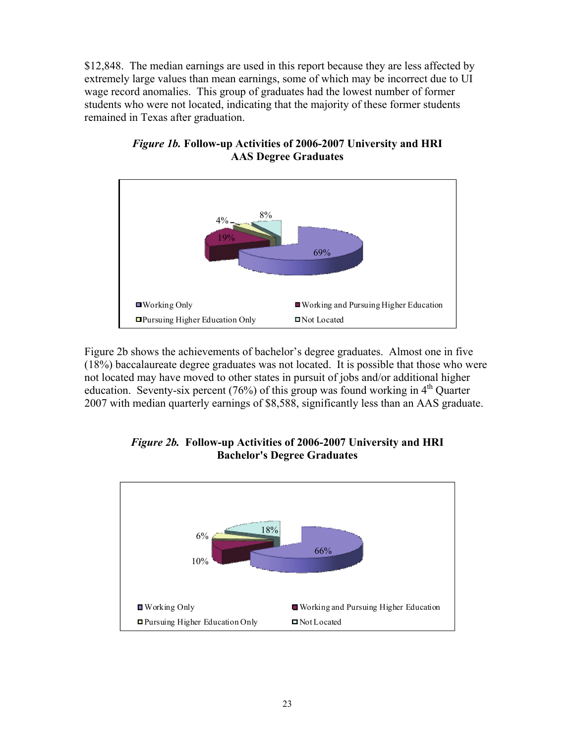\$12,848. The median earnings are used in this report because they are less affected by extremely large values than mean earnings, some of which may be incorrect due to UI wage record anomalies. This group of graduates had the lowest number of former students who were not located, indicating that the majority of these former students remained in Texas after graduation.



*Figure 1b.* **Follow-up Activities of 2006-2007 University and HRI AAS Degree Graduates** 

Figure 2b shows the achievements of bachelor's degree graduates. Almost one in five (18%) baccalaureate degree graduates was not located. It is possible that those who were not located may have moved to other states in pursuit of jobs and/or additional higher education. Seventy-six percent (76%) of this group was found working in  $4<sup>th</sup>$  Quarter 2007 with median quarterly earnings of \$8,588, significantly less than an AAS graduate.



*Figure 2b.* **Follow-up Activities of 2006-2007 University and HRI Bachelor's Degree Graduates**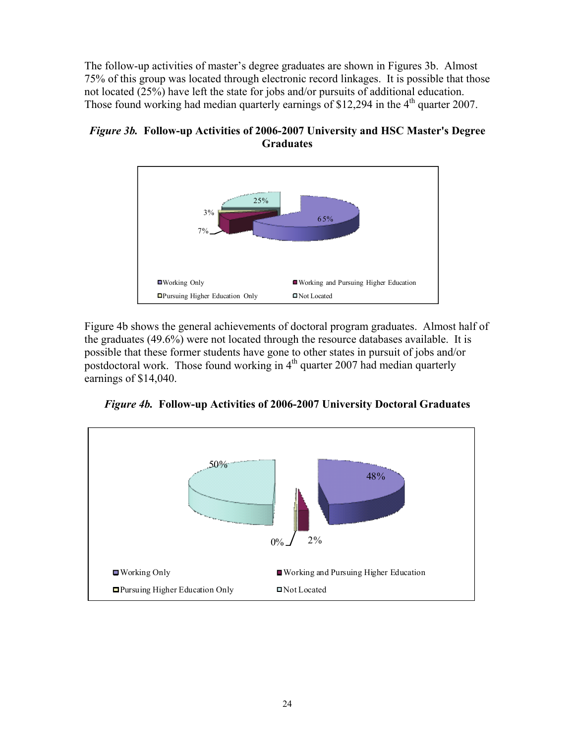The follow-up activities of master's degree graduates are shown in Figures 3b. Almost 75% of this group was located through electronic record linkages. It is possible that those not located (25%) have left the state for jobs and/or pursuits of additional education. Those found working had median quarterly earnings of \$12,294 in the  $4<sup>th</sup>$  quarter 2007.



*Figure 3b.* **Follow-up Activities of 2006-2007 University and HSC Master's Degree Graduates** 

Figure 4b shows the general achievements of doctoral program graduates. Almost half of the graduates (49.6%) were not located through the resource databases available. It is possible that these former students have gone to other states in pursuit of jobs and/or postdoctoral work. Those found working in  $4<sup>th</sup>$  quarter 2007 had median quarterly earnings of \$14,040.

*Figure 4b.* **Follow-up Activities of 2006-2007 University Doctoral Graduates** 

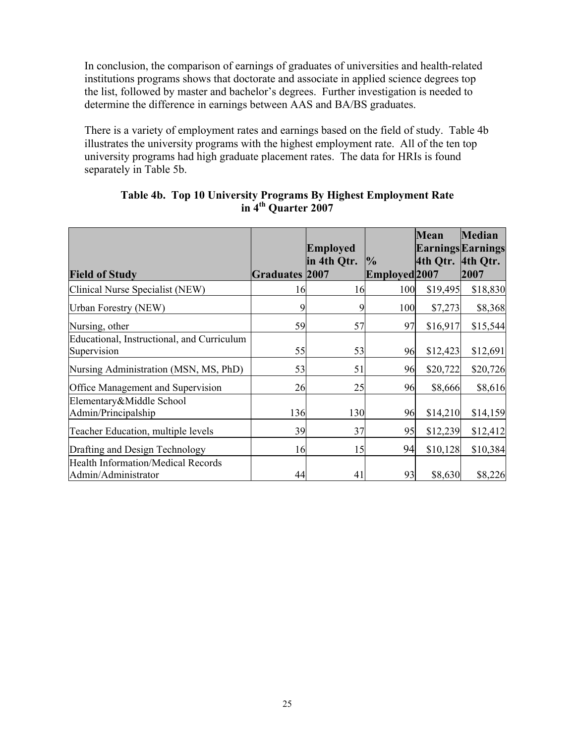In conclusion, the comparison of earnings of graduates of universities and health-related institutions programs shows that doctorate and associate in applied science degrees top the list, followed by master and bachelor's degrees. Further investigation is needed to determine the difference in earnings between AAS and BA/BS graduates.

There is a variety of employment rates and earnings based on the field of study. Table 4b illustrates the university programs with the highest employment rate. All of the ten top university programs had high graduate placement rates. The data for HRIs is found separately in Table 5b.

|                                                                  |                       | <b>Employed</b> |                                | <b>Mean</b> | <b>Median</b><br><b>Earnings Earnings</b> |
|------------------------------------------------------------------|-----------------------|-----------------|--------------------------------|-------------|-------------------------------------------|
| <b>Field of Study</b>                                            | <b>Graduates 2007</b> | in 4th Qtr.     | $\frac{1}{2}$<br>Employed 2007 | 4th Qtr.    | 4th Qtr.<br>2007                          |
| Clinical Nurse Specialist (NEW)                                  | 16                    | 16              | 100                            | \$19,495    | \$18,830                                  |
| Urban Forestry (NEW)                                             |                       | 9               | 100                            | \$7,273     | \$8,368                                   |
| Nursing, other                                                   | 59                    | 57              | 97                             | \$16,917    | \$15,544                                  |
| Educational, Instructional, and Curriculum<br>Supervision        | 55                    | 53              | 96                             | \$12,423    | \$12,691                                  |
| Nursing Administration (MSN, MS, PhD)                            | 53                    | 51              | 96                             | \$20,722    | \$20,726                                  |
| <b>Office Management and Supervision</b>                         | 26                    | 25              | 96                             | \$8,666     | \$8,616                                   |
| Elementary&Middle School<br>Admin/Principalship                  | 136                   | 130             | 96                             | \$14,210    | \$14,159                                  |
| Teacher Education, multiple levels                               | 39                    | 37              | 95                             | \$12,239    | \$12,412                                  |
| Drafting and Design Technology                                   | 16                    | 15              | 94                             | \$10,128    | \$10,384                                  |
| <b>Health Information/Medical Records</b><br>Admin/Administrator | 44                    | 41              | 93                             | \$8,630     | \$8,226                                   |

#### **Table 4b. Top 10 University Programs By Highest Employment Rate in 4th Quarter 2007**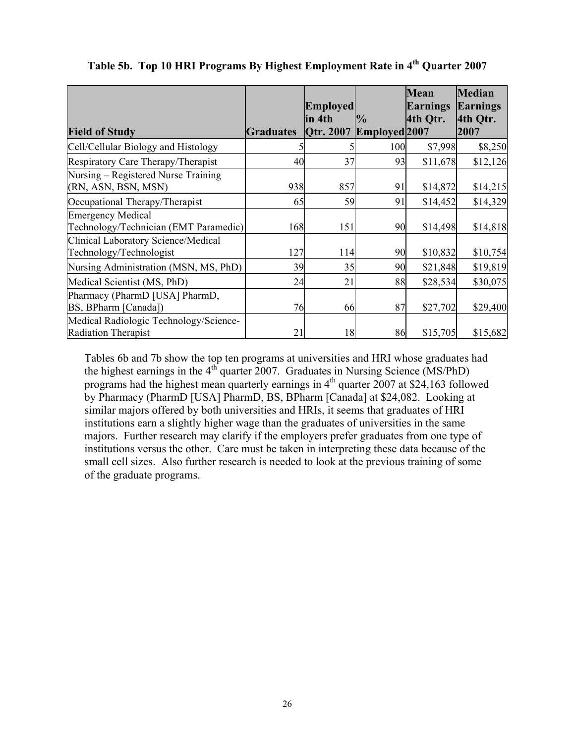|                                                                      |                  | <b>Employed</b><br>in 4th | $\frac{1}{2}$ | <b>Mean</b><br><b>Earnings</b><br>4th Otr. | <b>Median</b><br><b>Earnings</b><br>4th Qtr. |
|----------------------------------------------------------------------|------------------|---------------------------|---------------|--------------------------------------------|----------------------------------------------|
| <b>Field of Study</b>                                                | <b>Graduates</b> | Qtr. 2007                 | Employed 2007 |                                            | 2007                                         |
| Cell/Cellular Biology and Histology                                  |                  |                           | 100           | \$7,998                                    | \$8,250                                      |
| Respiratory Care Therapy/Therapist                                   | 40               | 37                        | 93            | \$11,678                                   | \$12,126                                     |
| Nursing – Registered Nurse Training<br>(RN, ASN, BSN, MSN)           | 938              | 857                       | 91            | \$14,872                                   | \$14,215                                     |
| Occupational Therapy/Therapist                                       | 65               | 59                        | 91            | \$14,452                                   | \$14,329                                     |
| <b>Emergency Medical</b><br>Technology/Technician (EMT Paramedic)    | 168              | 151                       | 90            | \$14,498                                   | \$14,818                                     |
| Clinical Laboratory Science/Medical<br>Technology/Technologist       | 127              | 114                       | 90            | \$10,832                                   | \$10,754                                     |
| Nursing Administration (MSN, MS, PhD)                                | 39               | 35                        | 90            | \$21,848                                   | \$19,819                                     |
| Medical Scientist (MS, PhD)                                          | 24               | 21                        | 88            | \$28,534                                   | \$30,075                                     |
| Pharmacy (PharmD [USA] PharmD,<br>BS, BPharm [Canada])               | 76               | 66                        | 87            | \$27,702                                   | \$29,400                                     |
| Medical Radiologic Technology/Science-<br><b>Radiation Therapist</b> | 21               | 18                        | 86            | \$15,705                                   | \$15,682                                     |

Table 5b. Top 10 HRI Programs By Highest Employment Rate in 4<sup>th</sup> Quarter 2007

Tables 6b and 7b show the top ten programs at universities and HRI whose graduates had the highest earnings in the  $4<sup>th</sup>$  quarter 2007. Graduates in Nursing Science (MS/PhD) programs had the highest mean quarterly earnings in  $4<sup>th</sup>$  quarter 2007 at \$24,163 followed by Pharmacy (PharmD [USA] PharmD, BS, BPharm [Canada] at \$24,082. Looking at similar majors offered by both universities and HRIs, it seems that graduates of HRI institutions earn a slightly higher wage than the graduates of universities in the same majors. Further research may clarify if the employers prefer graduates from one type of institutions versus the other. Care must be taken in interpreting these data because of the small cell sizes. Also further research is needed to look at the previous training of some of the graduate programs.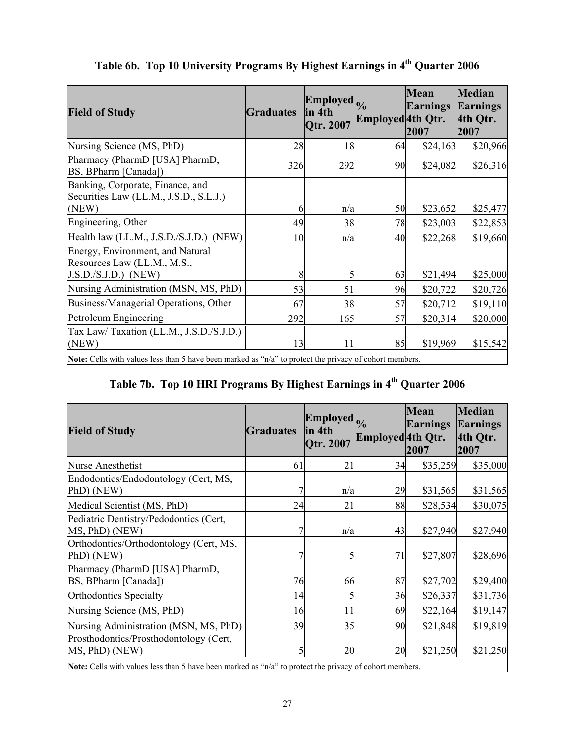| <b>Field of Study</b>                                                                                   | <b>Graduates</b> | Employed <sub>o</sub><br>in 4th<br>Qtr. 2007 | Employed 4th Qtr. | Mean<br>Earnings<br>2007 | <b>Median</b><br>Earnings<br>4th Qtr.<br>2007 |
|---------------------------------------------------------------------------------------------------------|------------------|----------------------------------------------|-------------------|--------------------------|-----------------------------------------------|
| Nursing Science (MS, PhD)                                                                               | 28               | 18                                           | 64                | \$24,163                 | \$20,966                                      |
| Pharmacy (PharmD [USA] PharmD,<br>BS, BPharm [Canada])                                                  | 326              | 292                                          | 90                | \$24,082                 | \$26,316                                      |
| Banking, Corporate, Finance, and<br>Securities Law (LL.M., J.S.D., S.L.J.)                              |                  |                                              |                   |                          |                                               |
| (NEW)                                                                                                   | b                | n/a                                          | 50                | \$23,652                 | \$25,477                                      |
| Engineering, Other                                                                                      | 49               | 38                                           | 78                | \$23,003                 | \$22,853                                      |
| Health law (LL.M., J.S.D./S.J.D.) (NEW)                                                                 | 10               | n/a                                          | 40                | \$22,268                 | \$19,660                                      |
| Energy, Environment, and Natural<br>Resources Law (LL.M., M.S.,<br>$J.S.D./S.J.D.)$ (NEW)               | 8                | 5                                            | 63                | \$21,494                 | \$25,000                                      |
|                                                                                                         |                  |                                              |                   |                          |                                               |
| Nursing Administration (MSN, MS, PhD)                                                                   | 53               | 51                                           | 96                | \$20,722                 | \$20,726                                      |
| Business/Managerial Operations, Other                                                                   | 67               | 38                                           | 57                | \$20,712                 | \$19,110                                      |
| Petroleum Engineering                                                                                   | 292              | 165                                          | 57                | \$20,314                 | \$20,000                                      |
| Tax Law/Taxation (LL.M., J.S.D./S.J.D.)<br>(NEW)                                                        | 13               | 11                                           | 85                | \$19,969                 | \$15,542                                      |
| Note: Cells with values less than 5 have been marked as "n/a" to protect the privacy of cohort members. |                  |                                              |                   |                          |                                               |

# Table 6b. Top 10 University Programs By Highest Earnings in 4<sup>th</sup> Quarter 2006

Note: Cells with values less than 5 have been marked as "n/a" to protect the privacy of cohort members.

# **Table 7b. Top 10 HRI Programs By Highest Earnings in 4th Quarter 2006**

| <b>Field of Study</b>                                                                                   | <b>Graduates</b> | Employed <sub>o</sub><br>lin 4th<br>Qtr. 2007 | Employed 4th Qtr. | <b>Mean</b><br><b>Earnings</b><br>2007 | <b>Median</b><br><b>Earnings</b><br>4th Qtr.<br>2007 |
|---------------------------------------------------------------------------------------------------------|------------------|-----------------------------------------------|-------------------|----------------------------------------|------------------------------------------------------|
| <b>Nurse Anesthetist</b>                                                                                | 61               | 21                                            | 34                | \$35,259                               | \$35,000                                             |
| Endodontics/Endodontology (Cert, MS,<br>PhD) (NEW)                                                      |                  | n/a                                           | 29                | \$31,565                               | \$31,565                                             |
| Medical Scientist (MS, PhD)                                                                             | 24               | 21                                            | 88                | \$28,534                               | \$30,075                                             |
| Pediatric Dentistry/Pedodontics (Cert,<br>MS, PhD) (NEW)                                                |                  | n/a                                           | 43                | \$27,940                               | \$27,940                                             |
| Orthodontics/Orthodontology (Cert, MS,<br>PhD) (NEW)                                                    |                  | 5                                             | 71                | \$27,807                               | \$28,696                                             |
| Pharmacy (PharmD [USA] PharmD,<br>BS, BPharm [Canada])                                                  | 76               | 66                                            | 87                | \$27,702                               | \$29,400                                             |
| <b>Orthodontics Specialty</b>                                                                           | 14               |                                               | 36                | \$26,337                               | \$31,736                                             |
| Nursing Science (MS, PhD)                                                                               | 16               | 11                                            | 69                | \$22,164                               | \$19,147                                             |
| Nursing Administration (MSN, MS, PhD)                                                                   | 39               | 35                                            | 90                | \$21,848                               | \$19,819                                             |
| Prosthodontics/Prosthodontology (Cert,<br>MS, PhD) (NEW)                                                |                  | 20                                            | 20                | \$21,250                               | \$21,250                                             |
| Note: Cells with values less than 5 have been marked as "n/a" to protect the privacy of cohort members. |                  |                                               |                   |                                        |                                                      |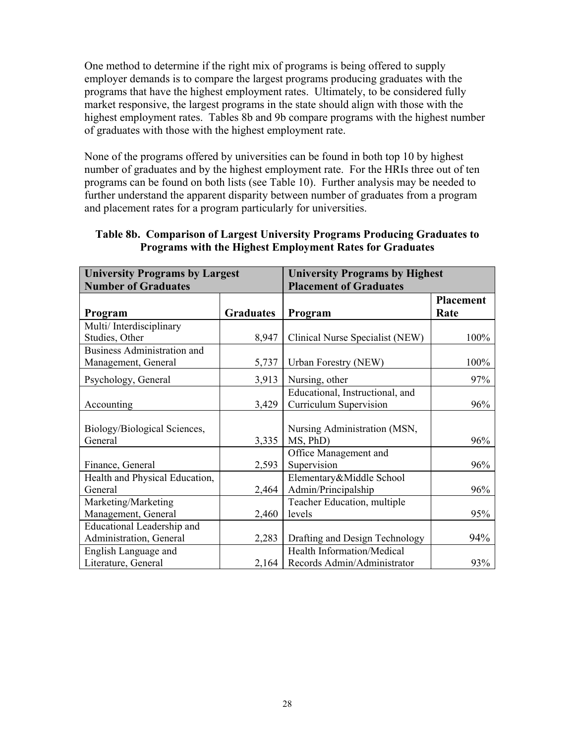One method to determine if the right mix of programs is being offered to supply employer demands is to compare the largest programs producing graduates with the programs that have the highest employment rates. Ultimately, to be considered fully market responsive, the largest programs in the state should align with those with the highest employment rates. Tables 8b and 9b compare programs with the highest number of graduates with those with the highest employment rate.

None of the programs offered by universities can be found in both top 10 by highest number of graduates and by the highest employment rate. For the HRIs three out of ten programs can be found on both lists (see Table 10). Further analysis may be needed to further understand the apparent disparity between number of graduates from a program and placement rates for a program particularly for universities.

| <b>University Programs by Largest</b> |                  | <b>University Programs by Highest</b> |                  |
|---------------------------------------|------------------|---------------------------------------|------------------|
| <b>Number of Graduates</b>            |                  | <b>Placement of Graduates</b>         |                  |
|                                       |                  |                                       | <b>Placement</b> |
| Program                               | <b>Graduates</b> | Program                               | Rate             |
| Multi/Interdisciplinary               |                  |                                       |                  |
| Studies, Other                        | 8,947            | Clinical Nurse Specialist (NEW)       | 100%             |
| <b>Business Administration and</b>    |                  |                                       |                  |
| Management, General                   | 5,737            | Urban Forestry (NEW)                  | 100%             |
| Psychology, General                   | 3,913            | Nursing, other                        | 97%              |
|                                       |                  | Educational, Instructional, and       |                  |
| Accounting                            | 3,429            | Curriculum Supervision                | 96%              |
|                                       |                  |                                       |                  |
| Biology/Biological Sciences,          |                  | Nursing Administration (MSN,          |                  |
| General                               | 3,335            | MS, PhD)                              | 96%              |
|                                       |                  | Office Management and                 |                  |
| Finance, General                      | 2,593            | Supervision                           | 96%              |
| Health and Physical Education,        |                  | Elementary&Middle School              |                  |
| General                               | 2,464            | Admin/Principalship                   | 96%              |
| Marketing/Marketing                   |                  | Teacher Education, multiple           |                  |
| Management, General                   | 2,460            | levels                                | 95%              |
| Educational Leadership and            |                  |                                       |                  |
| Administration, General               | 2,283            | Drafting and Design Technology        | 94%              |
| English Language and                  |                  | Health Information/Medical            |                  |
| Literature, General                   | 2,164            | Records Admin/Administrator           | 93%              |

### **Table 8b. Comparison of Largest University Programs Producing Graduates to Programs with the Highest Employment Rates for Graduates**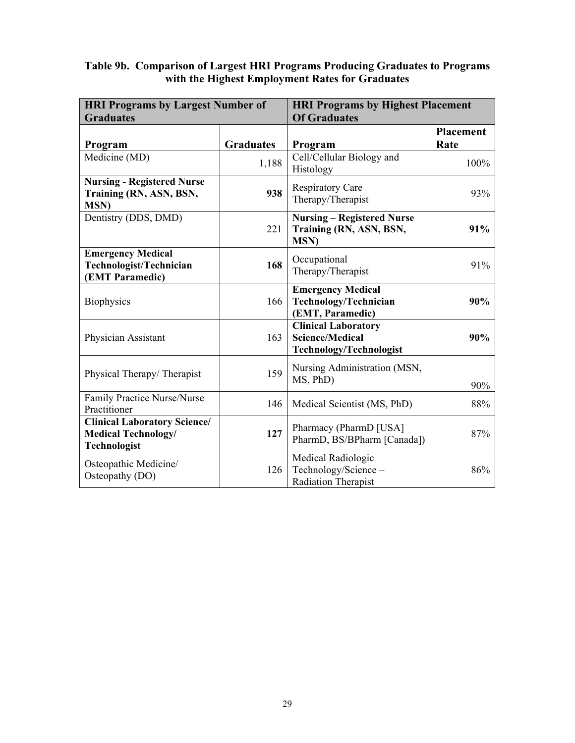#### **Table 9b. Comparison of Largest HRI Programs Producing Graduates to Programs with the Highest Employment Rates for Graduates**

| <b>HRI Programs by Largest Number of</b><br><b>Graduates</b>                             |                  | <b>HRI Programs by Highest Placement</b><br><b>Of Graduates</b>                        |                          |
|------------------------------------------------------------------------------------------|------------------|----------------------------------------------------------------------------------------|--------------------------|
| Program                                                                                  | <b>Graduates</b> | Program                                                                                | <b>Placement</b><br>Rate |
| Medicine (MD)                                                                            | 1,188            | Cell/Cellular Biology and<br>Histology                                                 | 100%                     |
| <b>Nursing - Registered Nurse</b><br>Training (RN, ASN, BSN,<br><b>MSN</b> )             | 938              | <b>Respiratory Care</b><br>Therapy/Therapist                                           | 93%                      |
| Dentistry (DDS, DMD)                                                                     | 221              | <b>Nursing – Registered Nurse</b><br>Training (RN, ASN, BSN,<br><b>MSN)</b>            | 91%                      |
| <b>Emergency Medical</b><br>Technologist/Technician<br>(EMT Paramedic)                   | 168              | Occupational<br>Therapy/Therapist                                                      | 91%                      |
| <b>Biophysics</b>                                                                        | 166              | <b>Emergency Medical</b><br>Technology/Technician<br>(EMT, Paramedic)                  | 90%                      |
| Physician Assistant                                                                      | 163              | <b>Clinical Laboratory</b><br><b>Science/Medical</b><br><b>Technology/Technologist</b> | 90%                      |
| Physical Therapy/Therapist                                                               | 159              | Nursing Administration (MSN,<br>MS, PhD)                                               | 90%                      |
| Family Practice Nurse/Nurse<br>Practitioner                                              | 146              | Medical Scientist (MS, PhD)                                                            | 88%                      |
| <b>Clinical Laboratory Science/</b><br><b>Medical Technology/</b><br><b>Technologist</b> | 127              | Pharmacy (PharmD [USA]<br>PharmD, BS/BPharm [Canada])                                  | 87%                      |
| Osteopathic Medicine/<br>Osteopathy (DO)                                                 | 126              | Medical Radiologic<br>Technology/Science -<br>Radiation Therapist                      | 86%                      |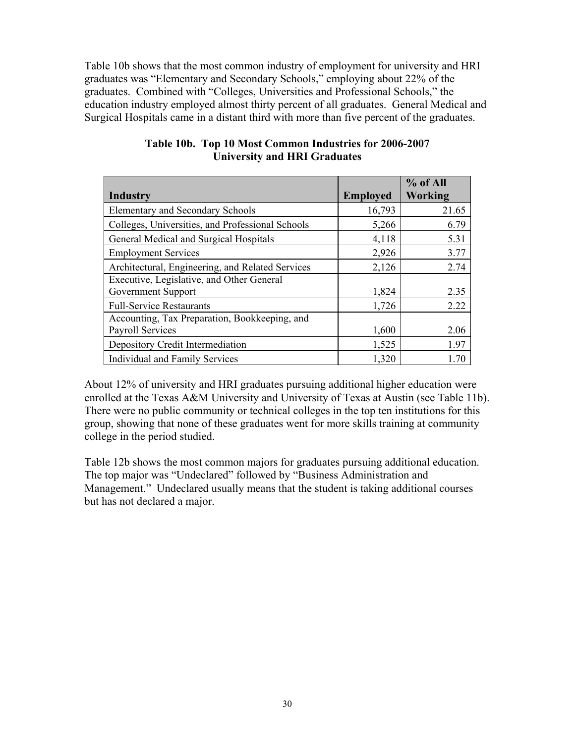Table 10b shows that the most common industry of employment for university and HRI graduates was "Elementary and Secondary Schools," employing about 22% of the graduates. Combined with "Colleges, Universities and Professional Schools," the education industry employed almost thirty percent of all graduates. General Medical and Surgical Hospitals came in a distant third with more than five percent of the graduates.

|                                                  |                 | % of All |
|--------------------------------------------------|-----------------|----------|
| Industry                                         | <b>Employed</b> | Working  |
| <b>Elementary and Secondary Schools</b>          | 16,793          | 21.65    |
| Colleges, Universities, and Professional Schools | 5,266           | 6.79     |
| General Medical and Surgical Hospitals           | 4,118           | 5.31     |
| <b>Employment Services</b>                       | 2,926           | 3.77     |
| Architectural, Engineering, and Related Services | 2,126           | 2.74     |
| Executive, Legislative, and Other General        |                 |          |
| Government Support                               | 1,824           | 2.35     |
| <b>Full-Service Restaurants</b>                  | 1,726           | 2.22     |
| Accounting, Tax Preparation, Bookkeeping, and    |                 |          |
| <b>Payroll Services</b>                          | 1,600           | 2.06     |
| Depository Credit Intermediation                 | 1,525           | 1.97     |
| Individual and Family Services                   | 1,320           | 170      |

#### **Table 10b. Top 10 Most Common Industries for 2006-2007 University and HRI Graduates**

About 12% of university and HRI graduates pursuing additional higher education were enrolled at the Texas A&M University and University of Texas at Austin (see Table 11b). There were no public community or technical colleges in the top ten institutions for this group, showing that none of these graduates went for more skills training at community college in the period studied.

Table 12b shows the most common majors for graduates pursuing additional education. The top major was "Undeclared" followed by "Business Administration and Management." Undeclared usually means that the student is taking additional courses but has not declared a major.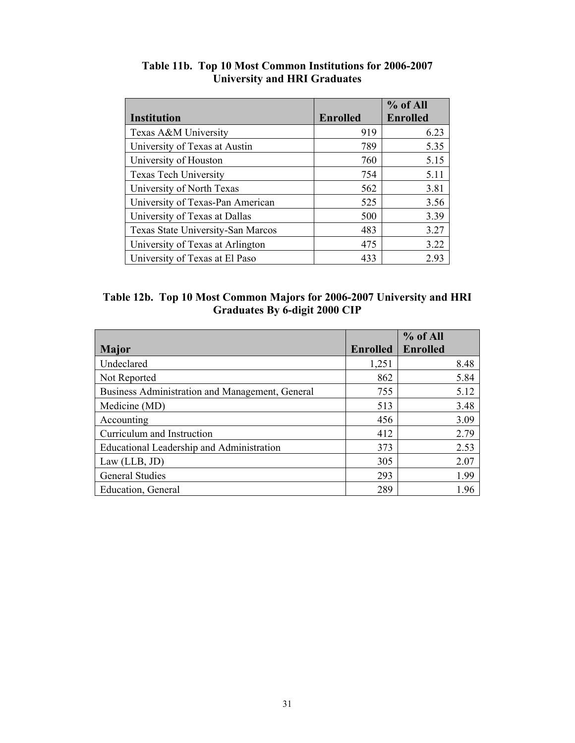|                                   |                 | $%$ of All      |
|-----------------------------------|-----------------|-----------------|
| <b>Institution</b>                | <b>Enrolled</b> | <b>Enrolled</b> |
| Texas A&M University              | 919             | 6.23            |
| University of Texas at Austin     | 789             | 5.35            |
| University of Houston             | 760             | 5.15            |
| <b>Texas Tech University</b>      | 754             | 5.11            |
| University of North Texas         | 562             | 3.81            |
| University of Texas-Pan American  | 525             | 3.56            |
| University of Texas at Dallas     | 500             | 3.39            |
| Texas State University-San Marcos | 483             | 3.27            |
| University of Texas at Arlington  | 475             | 3.22            |
| University of Texas at El Paso    | 433             | 2.93            |

# **Table 11b. Top 10 Most Common Institutions for 2006-2007 University and HRI Graduates**

| Table 12b. Top 10 Most Common Majors for 2006-2007 University and HRI |
|-----------------------------------------------------------------------|
| <b>Graduates By 6-digit 2000 CIP</b>                                  |

|                                                 |                 | % of All        |
|-------------------------------------------------|-----------------|-----------------|
| <b>Major</b>                                    | <b>Enrolled</b> | <b>Enrolled</b> |
| Undeclared                                      | 1,251           | 8.48            |
| Not Reported                                    | 862             | 5.84            |
| Business Administration and Management, General | 755             | 5.12            |
| Medicine (MD)                                   | 513             | 3.48            |
| Accounting                                      | 456             | 3.09            |
| Curriculum and Instruction                      | 412             | 2.79            |
| Educational Leadership and Administration       | 373             | 2.53            |
| Law (LLB, JD)                                   | 305             | 2.07            |
| <b>General Studies</b>                          | 293             | 1.99            |
| Education, General                              | 289             | 1.96            |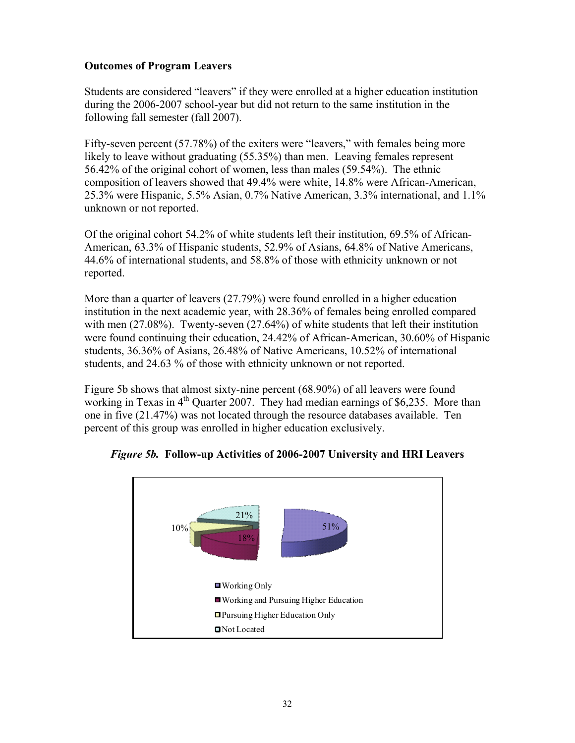# **Outcomes of Program Leavers**

Students are considered "leavers" if they were enrolled at a higher education institution during the 2006-2007 school-year but did not return to the same institution in the following fall semester (fall 2007).

Fifty-seven percent (57.78%) of the exiters were "leavers," with females being more likely to leave without graduating (55.35%) than men. Leaving females represent 56.42% of the original cohort of women, less than males (59.54%). The ethnic composition of leavers showed that 49.4% were white, 14.8% were African-American, 25.3% were Hispanic, 5.5% Asian, 0.7% Native American, 3.3% international, and 1.1% unknown or not reported.

Of the original cohort 54.2% of white students left their institution, 69.5% of African-American, 63.3% of Hispanic students, 52.9% of Asians, 64.8% of Native Americans, 44.6% of international students, and 58.8% of those with ethnicity unknown or not reported.

More than a quarter of leavers (27.79%) were found enrolled in a higher education institution in the next academic year, with 28.36% of females being enrolled compared with men (27.08%). Twenty-seven (27.64%) of white students that left their institution were found continuing their education, 24.42% of African-American, 30.60% of Hispanic students, 36.36% of Asians, 26.48% of Native Americans, 10.52% of international students, and 24.63 % of those with ethnicity unknown or not reported.

Figure 5b shows that almost sixty-nine percent (68.90%) of all leavers were found working in Texas in  $4<sup>th</sup>$  Quarter 2007. They had median earnings of \$6,235. More than one in five (21.47%) was not located through the resource databases available. Ten percent of this group was enrolled in higher education exclusively.



*Figure 5b.* **Follow-up Activities of 2006-2007 University and HRI Leavers**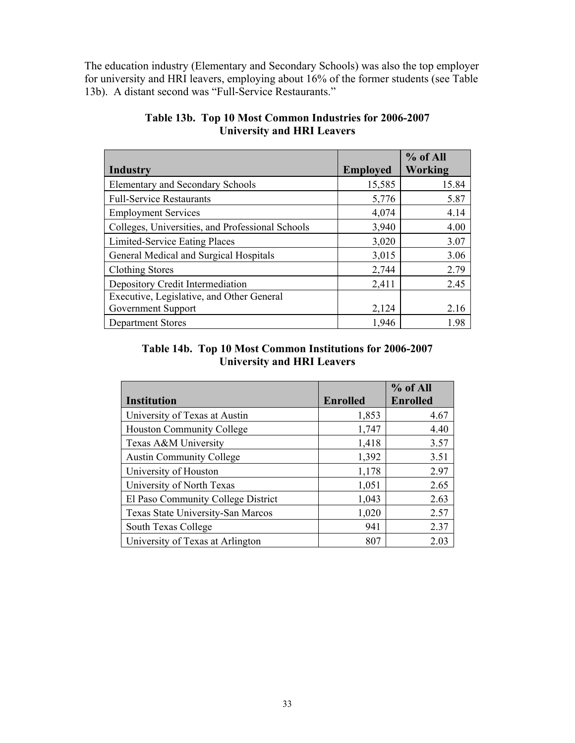The education industry (Elementary and Secondary Schools) was also the top employer for university and HRI leavers, employing about 16% of the former students (see Table 13b). A distant second was "Full-Service Restaurants."

|                                                  |                 | $%$ of All |
|--------------------------------------------------|-----------------|------------|
| Industry                                         | <b>Employed</b> | Working    |
| <b>Elementary and Secondary Schools</b>          | 15,585          | 15.84      |
| <b>Full-Service Restaurants</b>                  | 5,776           | 5.87       |
| <b>Employment Services</b>                       | 4,074           | 4.14       |
| Colleges, Universities, and Professional Schools | 3,940           | 4.00       |
| Limited-Service Eating Places                    | 3,020           | 3.07       |
| General Medical and Surgical Hospitals           | 3,015           | 3.06       |
| <b>Clothing Stores</b>                           | 2,744           | 2.79       |
| Depository Credit Intermediation                 | 2,411           | 2.45       |
| Executive, Legislative, and Other General        |                 |            |
| Government Support                               | 2,124           | 2.16       |
| <b>Department Stores</b>                         | 1,946           | 1.98       |

# **Table 13b. Top 10 Most Common Industries for 2006-2007 University and HRI Leavers**

# **Table 14b. Top 10 Most Common Institutions for 2006-2007 University and HRI Leavers**

|                                    |                 | % of All        |
|------------------------------------|-----------------|-----------------|
| <b>Institution</b>                 | <b>Enrolled</b> | <b>Enrolled</b> |
| University of Texas at Austin      | 1,853           | 4.67            |
| <b>Houston Community College</b>   | 1,747           | 4.40            |
| Texas A&M University               | 1,418           | 3.57            |
| <b>Austin Community College</b>    | 1,392           | 3.51            |
| University of Houston              | 1,178           | 2.97            |
| University of North Texas          | 1,051           | 2.65            |
| El Paso Community College District | 1,043           | 2.63            |
| Texas State University-San Marcos  | 1,020           | 2.57            |
| South Texas College                | 941             | 2.37            |
| University of Texas at Arlington   | 807             | 2.03            |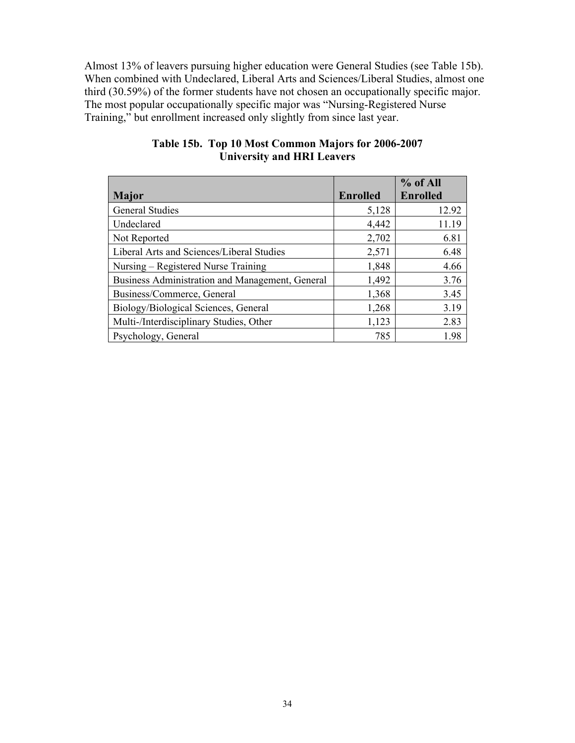Almost 13% of leavers pursuing higher education were General Studies (see Table 15b). When combined with Undeclared, Liberal Arts and Sciences/Liberal Studies, almost one third (30.59%) of the former students have not chosen an occupationally specific major. The most popular occupationally specific major was "Nursing-Registered Nurse Training," but enrollment increased only slightly from since last year.

|                                                 |                 | % of All        |
|-------------------------------------------------|-----------------|-----------------|
| <b>Major</b>                                    | <b>Enrolled</b> | <b>Enrolled</b> |
| <b>General Studies</b>                          | 5,128           | 12.92           |
| Undeclared                                      | 4,442           | 11.19           |
| Not Reported                                    | 2,702           | 6.81            |
| Liberal Arts and Sciences/Liberal Studies       | 2,571           | 6.48            |
| Nursing – Registered Nurse Training             | 1,848           | 4.66            |
| Business Administration and Management, General | 1,492           | 3.76            |
| Business/Commerce, General                      | 1,368           | 3.45            |
| Biology/Biological Sciences, General            | 1,268           | 3.19            |
| Multi-/Interdisciplinary Studies, Other         | 1,123           | 2.83            |
| Psychology, General                             | 785             | 1.98            |

# **Table 15b. Top 10 Most Common Majors for 2006-2007 University and HRI Leavers**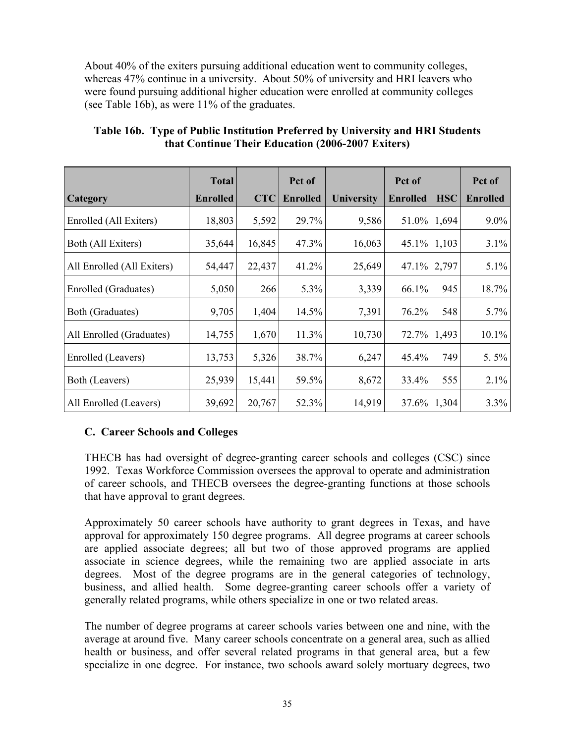About 40% of the exiters pursuing additional education went to community colleges, whereas 47% continue in a university. About 50% of university and HRI leavers who were found pursuing additional higher education were enrolled at community colleges (see Table 16b), as were 11% of the graduates.

|                            | <b>Total</b>    |            | Pct of          |                   | Pct of          |            | Pct of          |
|----------------------------|-----------------|------------|-----------------|-------------------|-----------------|------------|-----------------|
| Category                   | <b>Enrolled</b> | <b>CTC</b> | <b>Enrolled</b> | <b>University</b> | <b>Enrolled</b> | <b>HSC</b> | <b>Enrolled</b> |
| Enrolled (All Exiters)     | 18,803          | 5,592      | 29.7%           | 9,586             | 51.0%           | 1,694      | $9.0\%$         |
| Both (All Exiters)         | 35,644          | 16,845     | 47.3%           | 16,063            | $45.1\%$        | 1,103      | 3.1%            |
| All Enrolled (All Exiters) | 54,447          | 22,437     | 41.2%           | 25,649            | 47.1%           | 2,797      | $5.1\%$         |
| Enrolled (Graduates)       | 5,050           | 266        | 5.3%            | 3,339             | 66.1%           | 945        | 18.7%           |
| Both (Graduates)           | 9,705           | 1,404      | 14.5%           | 7,391             | 76.2%           | 548        | 5.7%            |
| All Enrolled (Graduates)   | 14,755          | 1,670      | 11.3%           | 10,730            | 72.7%           | 1,493      | 10.1%           |
| Enrolled (Leavers)         | 13,753          | 5,326      | 38.7%           | 6,247             | 45.4%           | 749        | 5.5%            |
| Both (Leavers)             | 25,939          | 15,441     | 59.5%           | 8,672             | 33.4%           | 555        | 2.1%            |
| All Enrolled (Leavers)     | 39,692          | 20,767     | 52.3%           | 14,919            | 37.6%           | 1,304      | 3.3%            |

# **Table 16b. Type of Public Institution Preferred by University and HRI Students that Continue Their Education (2006-2007 Exiters)**

# **C. Career Schools and Colleges**

THECB has had oversight of degree-granting career schools and colleges (CSC) since 1992. Texas Workforce Commission oversees the approval to operate and administration of career schools, and THECB oversees the degree-granting functions at those schools that have approval to grant degrees.

Approximately 50 career schools have authority to grant degrees in Texas, and have approval for approximately 150 degree programs. All degree programs at career schools are applied associate degrees; all but two of those approved programs are applied associate in science degrees, while the remaining two are applied associate in arts degrees. Most of the degree programs are in the general categories of technology, business, and allied health. Some degree-granting career schools offer a variety of generally related programs, while others specialize in one or two related areas.

The number of degree programs at career schools varies between one and nine, with the average at around five. Many career schools concentrate on a general area, such as allied health or business, and offer several related programs in that general area, but a few specialize in one degree. For instance, two schools award solely mortuary degrees, two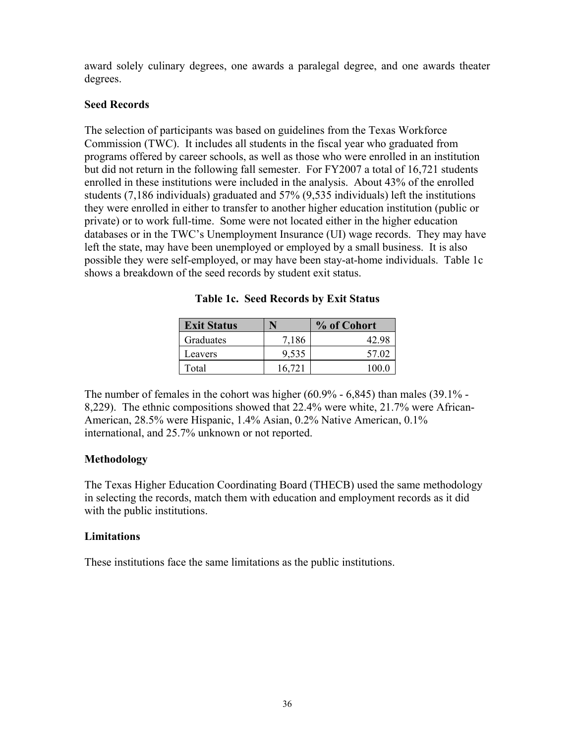award solely culinary degrees, one awards a paralegal degree, and one awards theater degrees.

#### **Seed Records**

The selection of participants was based on guidelines from the Texas Workforce Commission (TWC). It includes all students in the fiscal year who graduated from programs offered by career schools, as well as those who were enrolled in an institution but did not return in the following fall semester. For FY2007 a total of 16,721 students enrolled in these institutions were included in the analysis. About 43% of the enrolled students (7,186 individuals) graduated and 57% (9,535 individuals) left the institutions they were enrolled in either to transfer to another higher education institution (public or private) or to work full-time. Some were not located either in the higher education databases or in the TWC's Unemployment Insurance (UI) wage records. They may have left the state, may have been unemployed or employed by a small business. It is also possible they were self-employed, or may have been stay-at-home individuals. Table 1c shows a breakdown of the seed records by student exit status.

| <b>Exit Status</b> |        | % of Cohort |
|--------------------|--------|-------------|
| Graduates          | 7,186  | 42.98       |
| Leavers            | 9,535  | 57.02       |
| Total              | 16,721 | 100 0       |

| Table 1c. Seed Records by Exit Status |  |  |  |  |  |  |
|---------------------------------------|--|--|--|--|--|--|
|---------------------------------------|--|--|--|--|--|--|

The number of females in the cohort was higher (60.9% - 6,845) than males (39.1% - 8,229). The ethnic compositions showed that 22.4% were white, 21.7% were African-American, 28.5% were Hispanic, 1.4% Asian, 0.2% Native American, 0.1% international, and 25.7% unknown or not reported.

# **Methodology**

The Texas Higher Education Coordinating Board (THECB) used the same methodology in selecting the records, match them with education and employment records as it did with the public institutions.

# **Limitations**

These institutions face the same limitations as the public institutions.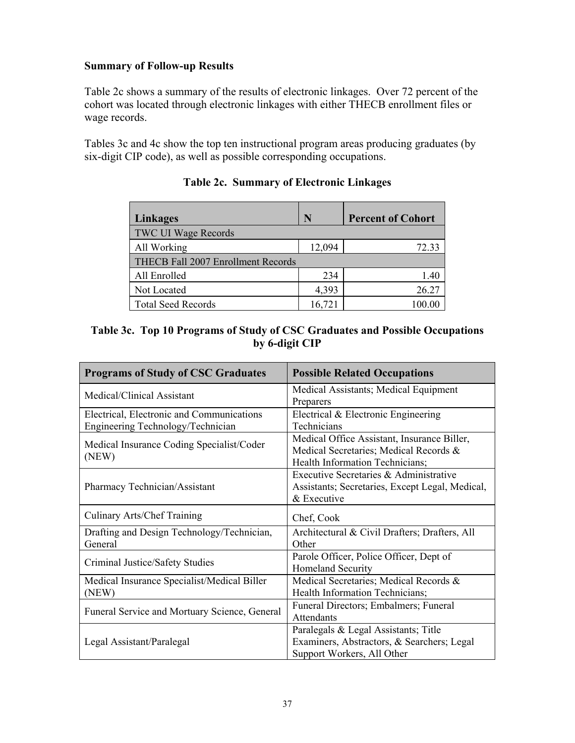# **Summary of Follow-up Results**

Table 2c shows a summary of the results of electronic linkages. Over 72 percent of the cohort was located through electronic linkages with either THECB enrollment files or wage records.

Tables 3c and 4c show the top ten instructional program areas producing graduates (by six-digit CIP code), as well as possible corresponding occupations.

| Linkages                           | N      | <b>Percent of Cohort</b> |
|------------------------------------|--------|--------------------------|
| <b>TWC UI Wage Records</b>         |        |                          |
| All Working                        | 12,094 | 72.33                    |
| THECB Fall 2007 Enrollment Records |        |                          |
| All Enrolled                       | 234    | 1.40                     |
| Not Located                        | 4,393  | 26.27                    |
| <b>Total Seed Records</b>          | 16,721 | 100.00                   |

# **Table 2c. Summary of Electronic Linkages**

# **Table 3c. Top 10 Programs of Study of CSC Graduates and Possible Occupations by 6-digit CIP**

| <b>Programs of Study of CSC Graduates</b>                                      | <b>Possible Related Occupations</b>                                                                                      |
|--------------------------------------------------------------------------------|--------------------------------------------------------------------------------------------------------------------------|
| Medical/Clinical Assistant                                                     | Medical Assistants; Medical Equipment<br>Preparers                                                                       |
| Electrical, Electronic and Communications<br>Engineering Technology/Technician | Electrical & Electronic Engineering<br>Technicians                                                                       |
| Medical Insurance Coding Specialist/Coder<br>(NEW)                             | Medical Office Assistant, Insurance Biller,<br>Medical Secretaries; Medical Records &<br>Health Information Technicians; |
| Pharmacy Technician/Assistant                                                  | Executive Secretaries & Administrative<br>Assistants; Secretaries, Except Legal, Medical,<br>& Executive                 |
| Culinary Arts/Chef Training                                                    | Chef, Cook                                                                                                               |
| Drafting and Design Technology/Technician,<br>General                          | Architectural & Civil Drafters; Drafters, All<br>Other                                                                   |
| Criminal Justice/Safety Studies                                                | Parole Officer, Police Officer, Dept of<br><b>Homeland Security</b>                                                      |
| Medical Insurance Specialist/Medical Biller<br>(NEW)                           | Medical Secretaries; Medical Records &<br>Health Information Technicians;                                                |
| Funeral Service and Mortuary Science, General                                  | Funeral Directors; Embalmers; Funeral<br>Attendants                                                                      |
| Legal Assistant/Paralegal                                                      | Paralegals & Legal Assistants; Title<br>Examiners, Abstractors, & Searchers; Legal<br>Support Workers, All Other         |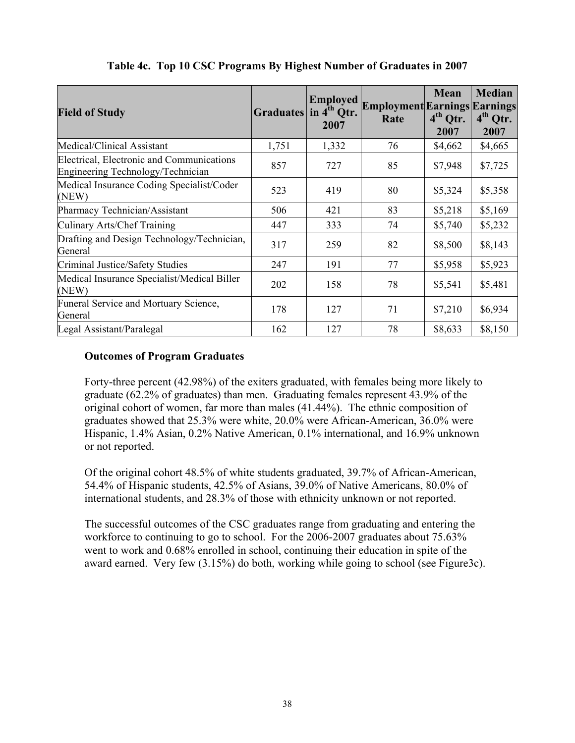| <b>Field of Study</b>                                                          | Graduates in 4 <sup>th</sup> Qtr. | <b>Employed</b><br>2007 | <b>Employment Earnings Earnings</b><br>Rate | <b>Mean</b><br>$4th$ Qtr.<br>2007 | <b>Median</b><br>$4th$ Qtr.<br>2007 |
|--------------------------------------------------------------------------------|-----------------------------------|-------------------------|---------------------------------------------|-----------------------------------|-------------------------------------|
| Medical/Clinical Assistant                                                     | 1,751                             | 1,332                   | 76                                          | \$4,662                           | \$4,665                             |
| Electrical, Electronic and Communications<br>Engineering Technology/Technician | 857                               | 727                     | 85                                          | \$7,948                           | \$7,725                             |
| Medical Insurance Coding Specialist/Coder<br>(NEW)                             | 523                               | 419                     | 80                                          | \$5,324                           | \$5,358                             |
| Pharmacy Technician/Assistant                                                  | 506                               | 421                     | 83                                          | \$5,218                           | \$5,169                             |
| Culinary Arts/Chef Training                                                    | 447                               | 333                     | 74                                          | \$5,740                           | \$5,232                             |
| Drafting and Design Technology/Technician,<br>General                          | 317                               | 259                     | 82                                          | \$8,500                           | \$8,143                             |
| Criminal Justice/Safety Studies                                                | 247                               | 191                     | 77                                          | \$5,958                           | \$5,923                             |
| Medical Insurance Specialist/Medical Biller<br>(NEW)                           | 202                               | 158                     | 78                                          | \$5,541                           | \$5,481                             |
| Funeral Service and Mortuary Science,<br>General                               | 178                               | 127                     | 71                                          | \$7,210                           | \$6,934                             |
| Legal Assistant/Paralegal                                                      | 162                               | 127                     | 78                                          | \$8,633                           | \$8,150                             |

# **Table 4c. Top 10 CSC Programs By Highest Number of Graduates in 2007**

# **Outcomes of Program Graduates**

Forty-three percent (42.98%) of the exiters graduated, with females being more likely to graduate (62.2% of graduates) than men. Graduating females represent 43.9% of the original cohort of women, far more than males (41.44%). The ethnic composition of graduates showed that 25.3% were white, 20.0% were African-American, 36.0% were Hispanic, 1.4% Asian, 0.2% Native American, 0.1% international, and 16.9% unknown or not reported.

Of the original cohort 48.5% of white students graduated, 39.7% of African-American, 54.4% of Hispanic students, 42.5% of Asians, 39.0% of Native Americans, 80.0% of international students, and 28.3% of those with ethnicity unknown or not reported.

The successful outcomes of the CSC graduates range from graduating and entering the workforce to continuing to go to school. For the 2006-2007 graduates about 75.63% went to work and 0.68% enrolled in school, continuing their education in spite of the award earned. Very few (3.15%) do both, working while going to school (see Figure3c).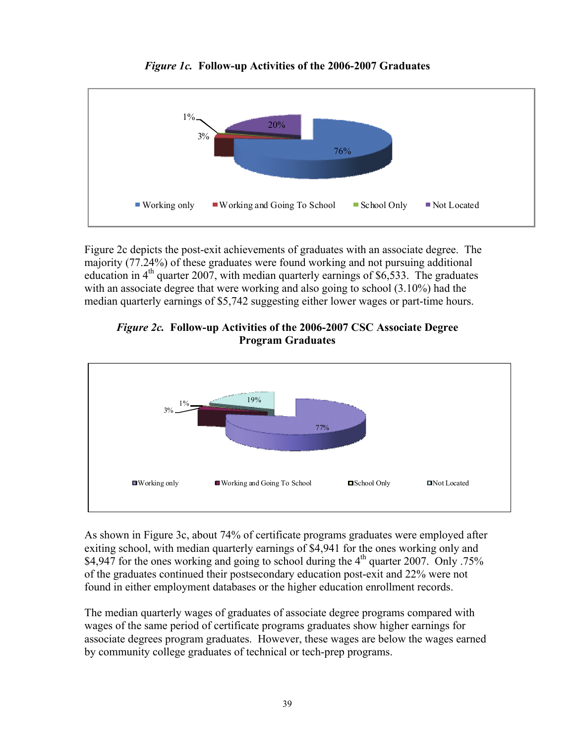

*Figure 1c.* **Follow-up Activities of the 2006-2007 Graduates** 

Figure 2c depicts the post-exit achievements of graduates with an associate degree. The majority (77.24%) of these graduates were found working and not pursuing additional education in  $4<sup>th</sup>$  quarter 2007, with median quarterly earnings of \$6,533. The graduates with an associate degree that were working and also going to school (3.10%) had the median quarterly earnings of \$5,742 suggesting either lower wages or part-time hours.



# *Figure 2c.* **Follow-up Activities of the 2006-2007 CSC Associate Degree Program Graduates**

As shown in Figure 3c, about 74% of certificate programs graduates were employed after exiting school, with median quarterly earnings of \$4,941 for the ones working only and \$4,947 for the ones working and going to school during the  $4<sup>th</sup>$  quarter 2007. Only .75% of the graduates continued their postsecondary education post-exit and 22% were not found in either employment databases or the higher education enrollment records.

The median quarterly wages of graduates of associate degree programs compared with wages of the same period of certificate programs graduates show higher earnings for associate degrees program graduates. However, these wages are below the wages earned by community college graduates of technical or tech-prep programs.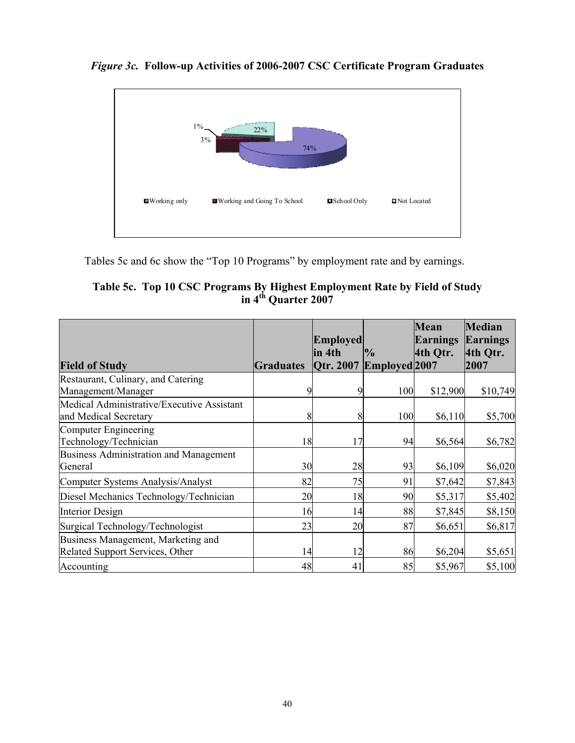

*Figure 3c.* **Follow-up Activities of 2006-2007 CSC Certificate Program Graduates** 

Tables 5c and 6c show the "Top 10 Programs" by employment rate and by earnings.

**Table 5c. Top 10 CSC Programs By Highest Employment Rate by Field of Study in 4th Quarter 2007** 

|                                                                     |                  | <b>Employed</b> |               | <b>Mean</b><br><b>Earnings</b> | <b>Median</b><br>Earnings |
|---------------------------------------------------------------------|------------------|-----------------|---------------|--------------------------------|---------------------------|
|                                                                     |                  | lin 4th         | $\%$          | 4th Otr.                       | 4th Otr.                  |
| <b>Field of Study</b>                                               | <b>Graduates</b> | Otr. 2007       | Employed 2007 |                                | 2007                      |
| Restaurant, Culinary, and Catering                                  |                  |                 |               |                                |                           |
| Management/Manager                                                  |                  |                 | 100           | \$12,900                       | \$10,749                  |
| Medical Administrative/Executive Assistant<br>and Medical Secretary | 8                | 8               | 100           | \$6,110                        | \$5,700                   |
| Computer Engineering                                                |                  |                 |               |                                |                           |
| Technology/Technician                                               | 18               | 17              | 94            | \$6,564                        | \$6,782                   |
| Business Administration and Management                              |                  |                 |               |                                |                           |
| General                                                             | 30               | 28              | 93            | \$6,109                        | \$6,020                   |
| Computer Systems Analysis/Analyst                                   | 82               | 75              | 91            | \$7,642                        | \$7,843                   |
| Diesel Mechanics Technology/Technician                              | 20               | 18              | 90            | \$5,317                        | \$5,402                   |
| Interior Design                                                     | 16               | 14              | 88            | \$7,845                        | \$8,150                   |
| Surgical Technology/Technologist                                    | 23               | 20              | 87            | \$6,651                        | \$6,817                   |
| Business Management, Marketing and                                  |                  |                 |               |                                |                           |
| Related Support Services, Other                                     | 14               | 12              | 86            | \$6,204                        | \$5,651                   |
| Accounting                                                          | 48               | 41              | 85            | \$5,967                        | \$5,100                   |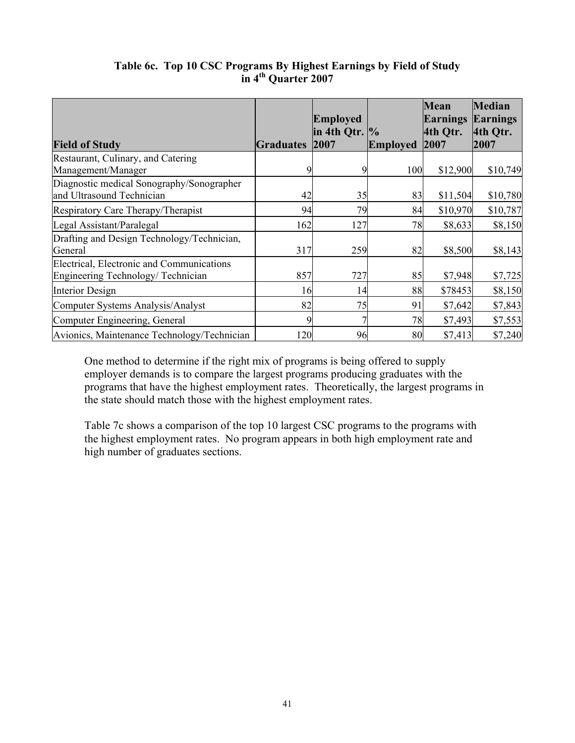|                                                       |           | <b>Employed</b><br>$\ln 4$ th Otr. $\%$ |                 | <b>Mean</b><br><b>Earnings</b><br>4th Qtr. | <b>Median</b><br><b>Earnings</b><br>4th Qtr. |
|-------------------------------------------------------|-----------|-----------------------------------------|-----------------|--------------------------------------------|----------------------------------------------|
| <b>Field of Study</b>                                 | Graduates | 2007                                    | <b>Employed</b> | 2007                                       | 2007                                         |
| Restaurant, Culinary, and Catering                    |           |                                         |                 |                                            |                                              |
| Management/Manager                                    |           |                                         | 100             | \$12,900                                   | \$10,749                                     |
| Diagnostic medical Sonography/Sonographer             |           |                                         |                 |                                            |                                              |
| and Ultrasound Technician                             | 42        | 35                                      | 83              | \$11,504                                   | \$10,780                                     |
| Respiratory Care Therapy/Therapist                    | 94        | 79                                      | 84              | \$10,970                                   | \$10,787                                     |
| Legal Assistant/Paralegal                             | 162       | 127                                     | 78              | \$8,633                                    | \$8,150                                      |
| Drafting and Design Technology/Technician,<br>General | 317       | 259                                     | 82              | \$8,500                                    | \$8,143                                      |
| Electrical, Electronic and Communications             |           |                                         |                 |                                            |                                              |
| Engineering Technology/Technician                     | 857       | 727                                     | 85              | \$7,948                                    | \$7,725                                      |
| Interior Design                                       | 16        | 14                                      | 88              | \$78453                                    | \$8,150                                      |
| Computer Systems Analysis/Analyst                     | 82        | 75                                      | 91              | \$7,642                                    | \$7,843                                      |
| Computer Engineering, General                         |           |                                         | 78              | \$7,493                                    | \$7,553                                      |
| Avionics, Maintenance Technology/Technician           | 120       | 96                                      | 80              | \$7,413                                    | \$7,240                                      |

# **Table 6c. Top 10 CSC Programs By Highest Earnings by Field of Study in 4th Quarter 2007**

One method to determine if the right mix of programs is being offered to supply employer demands is to compare the largest programs producing graduates with the programs that have the highest employment rates. Theoretically, the largest programs in the state should match those with the highest employment rates.

Table 7c shows a comparison of the top 10 largest CSC programs to the programs with the highest employment rates. No program appears in both high employment rate and high number of graduates sections.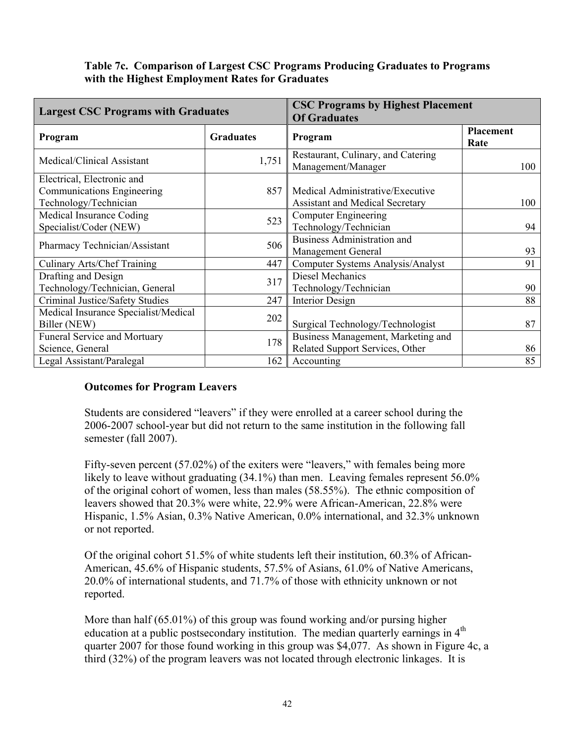#### **Table 7c. Comparison of Largest CSC Programs Producing Graduates to Programs with the Highest Employment Rates for Graduates**

| <b>Largest CSC Programs with Graduates</b>                                        |                  | <b>CSC Programs by Highest Placement</b><br><b>Of Graduates</b>            |                   |
|-----------------------------------------------------------------------------------|------------------|----------------------------------------------------------------------------|-------------------|
| Program                                                                           | <b>Graduates</b> | Program                                                                    | Placement<br>Rate |
| Medical/Clinical Assistant                                                        | 1,751            | Restaurant, Culinary, and Catering<br>Management/Manager                   | 100               |
| Electrical, Electronic and<br>Communications Engineering<br>Technology/Technician | 857              | Medical Administrative/Executive<br><b>Assistant and Medical Secretary</b> | 100               |
| Medical Insurance Coding<br>Specialist/Coder (NEW)                                | 523              | <b>Computer Engineering</b><br>Technology/Technician                       | 94                |
| Pharmacy Technician/Assistant                                                     | 506              | <b>Business Administration and</b><br><b>Management General</b>            | 93                |
| Culinary Arts/Chef Training                                                       | 447              | Computer Systems Analysis/Analyst                                          | 91                |
| Drafting and Design<br>Technology/Technician, General                             | 317              | Diesel Mechanics<br>Technology/Technician                                  | 90                |
| Criminal Justice/Safety Studies                                                   | 247              | <b>Interior Design</b>                                                     | 88                |
| Medical Insurance Specialist/Medical<br>Biller (NEW)                              | 202              | Surgical Technology/Technologist                                           | 87                |
| <b>Funeral Service and Mortuary</b><br>Science, General                           | 178              | Business Management, Marketing and<br>Related Support Services, Other      | 86                |
| Legal Assistant/Paralegal                                                         | 162              | Accounting                                                                 | 85                |

# **Outcomes for Program Leavers**

Students are considered "leavers" if they were enrolled at a career school during the 2006-2007 school-year but did not return to the same institution in the following fall semester (fall 2007).

Fifty-seven percent (57.02%) of the exiters were "leavers," with females being more likely to leave without graduating (34.1%) than men. Leaving females represent 56.0% of the original cohort of women, less than males (58.55%). The ethnic composition of leavers showed that 20.3% were white, 22.9% were African-American, 22.8% were Hispanic, 1.5% Asian, 0.3% Native American, 0.0% international, and 32.3% unknown or not reported.

Of the original cohort 51.5% of white students left their institution, 60.3% of African-American, 45.6% of Hispanic students, 57.5% of Asians, 61.0% of Native Americans, 20.0% of international students, and 71.7% of those with ethnicity unknown or not reported.

More than half (65.01%) of this group was found working and/or pursing higher education at a public postsecondary institution. The median quarterly earnings in 4<sup>th</sup> quarter 2007 for those found working in this group was \$4,077. As shown in Figure 4c, a third (32%) of the program leavers was not located through electronic linkages. It is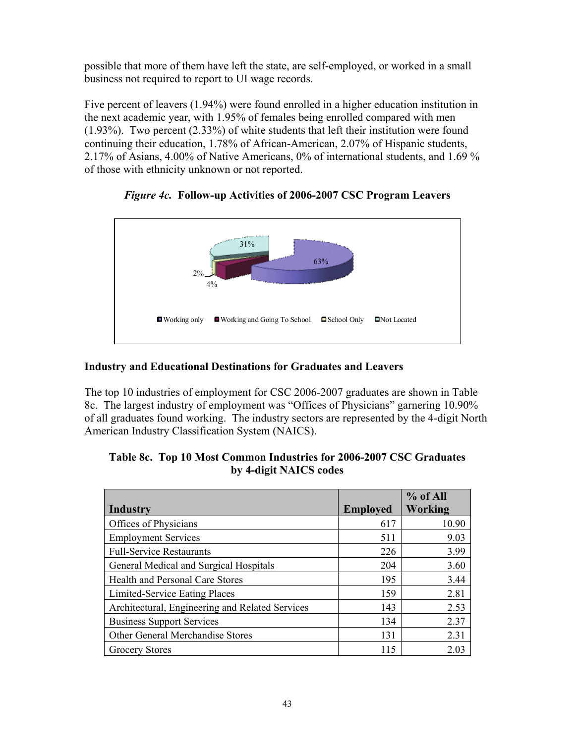possible that more of them have left the state, are self-employed, or worked in a small business not required to report to UI wage records.

Five percent of leavers (1.94%) were found enrolled in a higher education institution in the next academic year, with 1.95% of females being enrolled compared with men (1.93%). Two percent (2.33%) of white students that left their institution were found continuing their education, 1.78% of African-American, 2.07% of Hispanic students, 2.17% of Asians, 4.00% of Native Americans, 0% of international students, and 1.69 % of those with ethnicity unknown or not reported.



*Figure 4c.* **Follow-up Activities of 2006-2007 CSC Program Leavers** 

# **Industry and Educational Destinations for Graduates and Leavers**

The top 10 industries of employment for CSC 2006-2007 graduates are shown in Table 8c. The largest industry of employment was "Offices of Physicians" garnering 10.90% of all graduates found working. The industry sectors are represented by the 4-digit North American Industry Classification System (NAICS).

|                                                 |                 | % of All |
|-------------------------------------------------|-----------------|----------|
| <b>Industry</b>                                 | <b>Employed</b> | Working  |
| Offices of Physicians                           | 617             | 10.90    |
| <b>Employment Services</b>                      | 511             | 9.03     |
| <b>Full-Service Restaurants</b>                 | 226             | 3.99     |
| General Medical and Surgical Hospitals          | 204             | 3.60     |
| Health and Personal Care Stores                 | 195             | 3.44     |
| Limited-Service Eating Places                   | 159             | 2.81     |
| Architectural, Engineering and Related Services | 143             | 2.53     |
| <b>Business Support Services</b>                | 134             | 2.37     |
| <b>Other General Merchandise Stores</b>         | 131             | 2.31     |
| <b>Grocery Stores</b>                           | 115             | 2.03     |

| Table 8c. Top 10 Most Common Industries for 2006-2007 CSC Graduates |
|---------------------------------------------------------------------|
| by 4-digit NAICS codes                                              |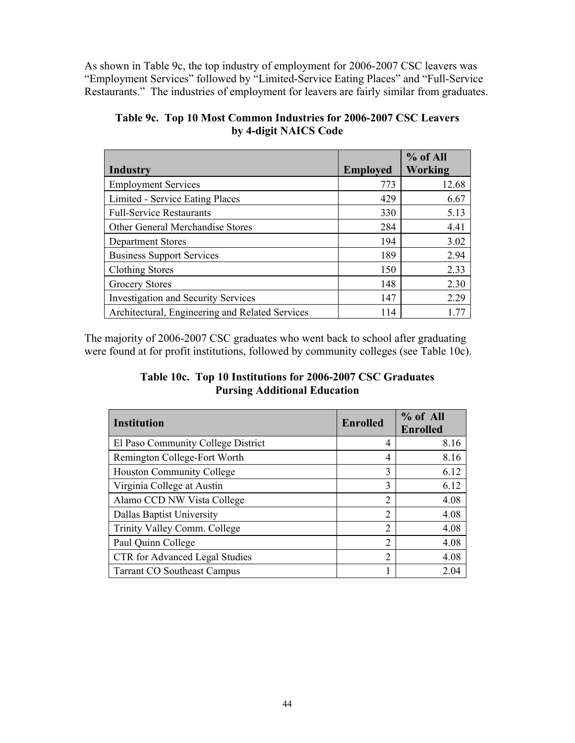As shown in Table 9c, the top industry of employment for 2006-2007 CSC leavers was "Employment Services" followed by "Limited-Service Eating Places" and "Full-Service Restaurants." The industries of employment for leavers are fairly similar from graduates.

| Industry                                        | <b>Employed</b> | % of All<br><b>Working</b> |
|-------------------------------------------------|-----------------|----------------------------|
| <b>Employment Services</b>                      | 773             | 12.68                      |
| Limited - Service Eating Places                 | 429             | 6.67                       |
| <b>Full-Service Restaurants</b>                 | 330             | 5.13                       |
| Other General Merchandise Stores                | 284             | 4.41                       |
| <b>Department Stores</b>                        | 194             | 3.02                       |
| <b>Business Support Services</b>                | 189             | 2.94                       |
| <b>Clothing Stores</b>                          | 150             | 2.33                       |
| <b>Grocery Stores</b>                           | 148             | 2.30                       |
| <b>Investigation and Security Services</b>      | 147             | 2.29                       |
| Architectural, Engineering and Related Services | 114             |                            |

**Table 9c. Top 10 Most Common Industries for 2006-2007 CSC Leavers by 4-digit NAICS Code** 

The majority of 2006-2007 CSC graduates who went back to school after graduating were found at for profit institutions, followed by community colleges (see Table 10c).

# **Table 10c. Top 10 Institutions for 2006-2007 CSC Graduates Pursing Additional Education**

| <b>Institution</b>                    | <b>Enrolled</b> | % of All<br><b>Enrolled</b> |
|---------------------------------------|-----------------|-----------------------------|
| El Paso Community College District    | 4               | 8.16                        |
| Remington College-Fort Worth          | 4               | 8.16                        |
| <b>Houston Community College</b>      | 3               | 6.12                        |
| Virginia College at Austin            | 3               | 6.12                        |
| Alamo CCD NW Vista College            | 2               | 4.08                        |
| Dallas Baptist University             | $\overline{2}$  | 4.08                        |
| Trinity Valley Comm. College          | $\overline{2}$  | 4.08                        |
| Paul Quinn College                    | $\overline{2}$  | 4.08                        |
| <b>CTR</b> for Advanced Legal Studies | $\overline{2}$  | 4.08                        |
| <b>Tarrant CO Southeast Campus</b>    |                 | 2.04                        |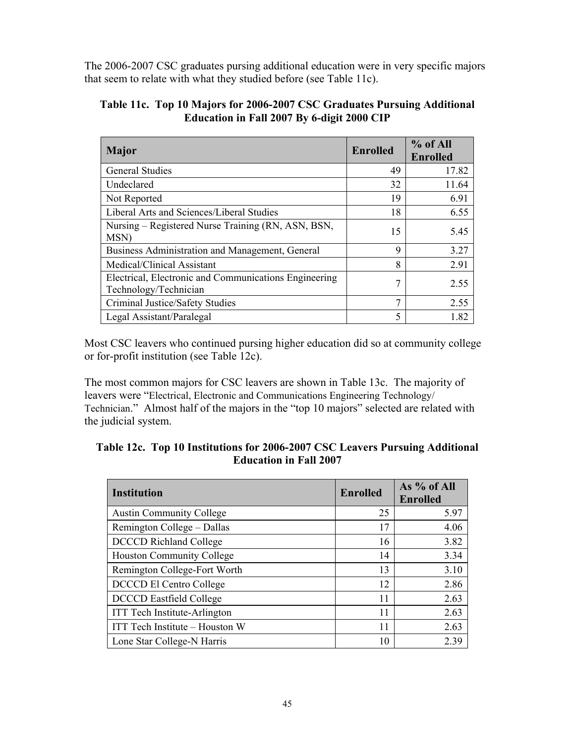The 2006-2007 CSC graduates pursing additional education were in very specific majors that seem to relate with what they studied before (see Table 11c).

| <b>Major</b>                                                                   | <b>Enrolled</b> | % of All<br><b>Enrolled</b> |
|--------------------------------------------------------------------------------|-----------------|-----------------------------|
| <b>General Studies</b>                                                         | 49              | 17.82                       |
| Undeclared                                                                     | 32              | 11.64                       |
| Not Reported                                                                   | 19              | 6.91                        |
| Liberal Arts and Sciences/Liberal Studies                                      | 18              | 6.55                        |
| Nursing – Registered Nurse Training (RN, ASN, BSN,<br>MSN)                     | 15              | 5.45                        |
| Business Administration and Management, General                                | 9               | 3.27                        |
| Medical/Clinical Assistant                                                     | 8               | 2.91                        |
| Electrical, Electronic and Communications Engineering<br>Technology/Technician | 7               | 2.55                        |
| Criminal Justice/Safety Studies                                                | 7               | 2.55                        |
| Legal Assistant/Paralegal                                                      | 5               | 1.82                        |

#### **Table 11c. Top 10 Majors for 2006-2007 CSC Graduates Pursuing Additional Education in Fall 2007 By 6-digit 2000 CIP**

Most CSC leavers who continued pursing higher education did so at community college or for-profit institution (see Table 12c).

The most common majors for CSC leavers are shown in Table 13c. The majority of leavers were "Electrical, Electronic and Communications Engineering Technology/ Technician." Almost half of the majors in the "top 10 majors" selected are related with the judicial system.

| Table 12c. Top 10 Institutions for 2006-2007 CSC Leavers Pursuing Additional |
|------------------------------------------------------------------------------|
| <b>Education in Fall 2007</b>                                                |

| <b>Institution</b>                  | <b>Enrolled</b> | As % of All<br><b>Enrolled</b> |  |
|-------------------------------------|-----------------|--------------------------------|--|
| <b>Austin Community College</b>     | 25              | 5.97                           |  |
| Remington College – Dallas          | 17              | 4.06                           |  |
| <b>DCCCD</b> Richland College       | 16              | 3.82                           |  |
| <b>Houston Community College</b>    | 14              | 3.34                           |  |
| Remington College-Fort Worth        | 13              | 3.10                           |  |
| <b>DCCCD El Centro College</b>      | 12              | 2.86                           |  |
| <b>DCCCD</b> Eastfield College      | 11              | 2.63                           |  |
| <b>ITT</b> Tech Institute-Arlington | 11              | 2.63                           |  |
| ITT Tech Institute – Houston W      | 11              | 2.63                           |  |
| Lone Star College-N Harris          | 10              | 2.39                           |  |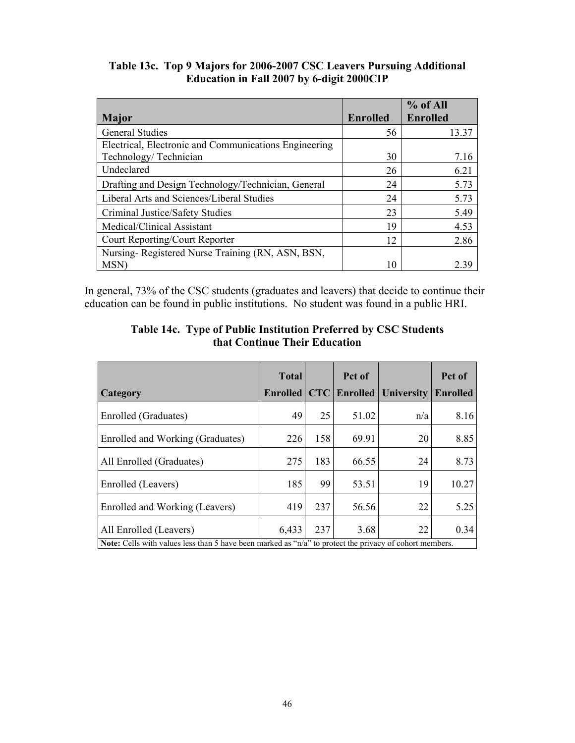| Table 13c. Top 9 Majors for 2006-2007 CSC Leavers Pursuing Additional |
|-----------------------------------------------------------------------|
| Education in Fall 2007 by 6-digit 2000CIP                             |

|                                                       |                 | % of All        |
|-------------------------------------------------------|-----------------|-----------------|
| <b>Major</b>                                          | <b>Enrolled</b> | <b>Enrolled</b> |
| <b>General Studies</b>                                | 56              | 13.37           |
| Electrical, Electronic and Communications Engineering |                 |                 |
| Technology/Technician                                 | 30              | 7.16            |
| Undeclared                                            | 26              | 6.21            |
| Drafting and Design Technology/Technician, General    | 24              | 5.73            |
| Liberal Arts and Sciences/Liberal Studies             | 24              | 5.73            |
| Criminal Justice/Safety Studies                       | 23              | 5.49            |
| Medical/Clinical Assistant                            | 19              | 4.53            |
| Court Reporting/Court Reporter                        | 12              | 2.86            |
| Nursing-Registered Nurse Training (RN, ASN, BSN,      |                 |                 |
| MSN)                                                  | 10              | 2.39            |

In general, 73% of the CSC students (graduates and leavers) that decide to continue their education can be found in public institutions. No student was found in a public HRI.

|                                                                                                                | <b>Total</b> |            | Pct of          |                   | Pct of          |
|----------------------------------------------------------------------------------------------------------------|--------------|------------|-----------------|-------------------|-----------------|
| Category                                                                                                       | Enrolled     | <b>CTC</b> | <b>Enrolled</b> | <b>University</b> | <b>Enrolled</b> |
| Enrolled (Graduates)                                                                                           | 49           | 25         | 51.02           | n/a               | 8.16            |
| Enrolled and Working (Graduates)                                                                               | 226          | 158        | 69.91           | 20                | 8.85            |
| All Enrolled (Graduates)                                                                                       | 275          | 183        | 66.55           | 24                | 8.73            |
| Enrolled (Leavers)                                                                                             | 185          | 99         | 53.51           | 19                | 10.27           |
| Enrolled and Working (Leavers)                                                                                 | 419          | 237        | 56.56           | 22                | 5.25            |
| All Enrolled (Leavers)                                                                                         | 6,433        | 237        | 3.68            | 22                | 0.34            |
| <b>Note:</b> Cells with values less than 5 have been marked as "n/a" to protect the privacy of cohort members. |              |            |                 |                   |                 |

#### **Table 14c. Type of Public Institution Preferred by CSC Students that Continue Their Education**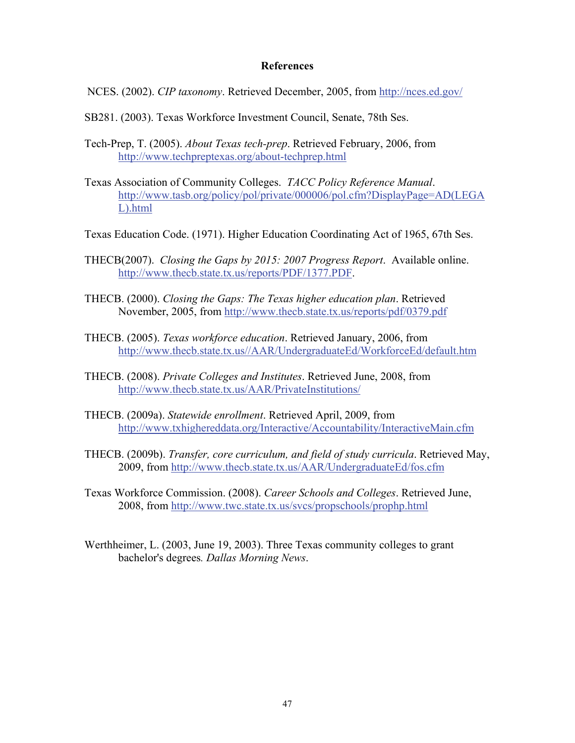#### **References**

- NCES. (2002). *CIP taxonomy*. Retrieved December, 2005, from <http://nces.ed.gov/>
- SB281. (2003). Texas Workforce Investment Council, Senate, 78th Ses.
- Tech-Prep, T. (2005). *About Texas tech-prep*. Retrieved February, 2006, from <http://www.techpreptexas.org/about-techprep.html>
- Texas Association of Community Colleges. *TACC Policy Reference Manual*. [http://www.tasb.org/policy/pol/private/000006/pol.cfm?DisplayPage=AD\(LEGA](http://www.tasb.org/policy/pol/private/000006/pol.cfm?DisplayPage=AD(LEGAL).html) [L\).html](http://www.tasb.org/policy/pol/private/000006/pol.cfm?DisplayPage=AD(LEGAL).html)
- Texas Education Code. (1971). Higher Education Coordinating Act of 1965, 67th Ses.
- THECB(2007). *Closing the Gaps by 2015: 2007 Progress Report*. Available online. <http://www.thecb.state.tx.us/reports/PDF/1377.PDF>.
- THECB. (2000). *Closing the Gaps: The Texas higher education plan*. Retrieved November, 2005, from <http://www.thecb.state.tx.us/reports/pdf/0379.pdf>
- THECB. (2005). *Texas workforce education*. Retrieved January, 2006, from <http://www.thecb.state.tx.us//AAR/UndergraduateEd/WorkforceEd/default.htm>
- THECB. (2008). *Private Colleges and Institutes*. Retrieved June, 2008, from <http://www.thecb.state.tx.us/AAR/PrivateInstitutions/>
- THECB. (2009a). *Statewide enrollment*. Retrieved April, 2009, from <http://www.txhighereddata.org/Interactive/Accountability/InteractiveMain.cfm>
- THECB. (2009b). *Transfer, core curriculum, and field of study curricula*. Retrieved May, 2009, from<http://www.thecb.state.tx.us/AAR/UndergraduateEd/fos.cfm>
- Texas Workforce Commission. (2008). *Career Schools and Colleges*. Retrieved June, 2008, from<http://www.twc.state.tx.us/svcs/propschools/prophp.html>
- Werthheimer, L. (2003, June 19, 2003). Three Texas community colleges to grant bachelor's degrees*. Dallas Morning News*.